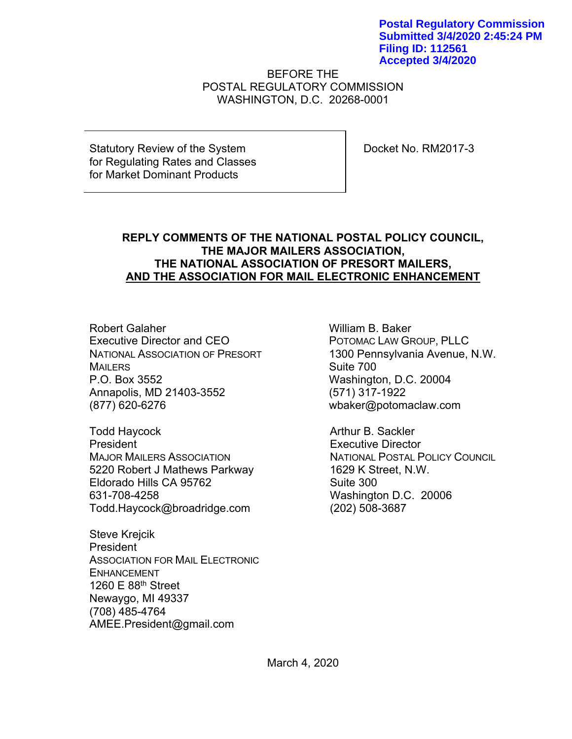**Postal Regulatory Commission Submitted 3/4/2020 2:45:24 PM Filing ID: 112561 Accepted 3/4/2020**

BEFORE THE POSTAL REGULATORY COMMISSION WASHINGTON, D.C. 20268-0001

Statutory Review of the System for Regulating Rates and Classes for Market Dominant Products

Docket No. RM2017-3

# **REPLY COMMENTS OF THE NATIONAL POSTAL POLICY COUNCIL, THE MAJOR MAILERS ASSOCIATION, THE NATIONAL ASSOCIATION OF PRESORT MAILERS, AND THE ASSOCIATION FOR MAIL ELECTRONIC ENHANCEMENT**

Robert Galaher Executive Director and CEO NATIONAL ASSOCIATION OF PRESORT **MAILERS** P.O. Box 3552 Annapolis, MD 21403-3552 (877) 620-6276

Todd Haycock President MAJOR MAILERS ASSOCIATION 5220 Robert J Mathews Parkway Eldorado Hills CA 95762 631-708-4258 Todd.Haycock@broadridge.com

Steve Krejcik President ASSOCIATION FOR MAIL ELECTRONIC ENHANCEMENT 1260 E 88th Street Newaygo, MI 49337 (708) 485-4764 AMEE.President@gmail.com

William B. Baker POTOMAC LAW GROUP, PLLC 1300 Pennsylvania Avenue, N.W. Suite 700 Washington, D.C. 20004 (571) 317-1922 wbaker@potomaclaw.com

Arthur B. Sackler Executive Director NATIONAL POSTAL POLICY COUNCIL 1629 K Street, N.W. Suite 300 Washington D.C. 20006 (202) 508-3687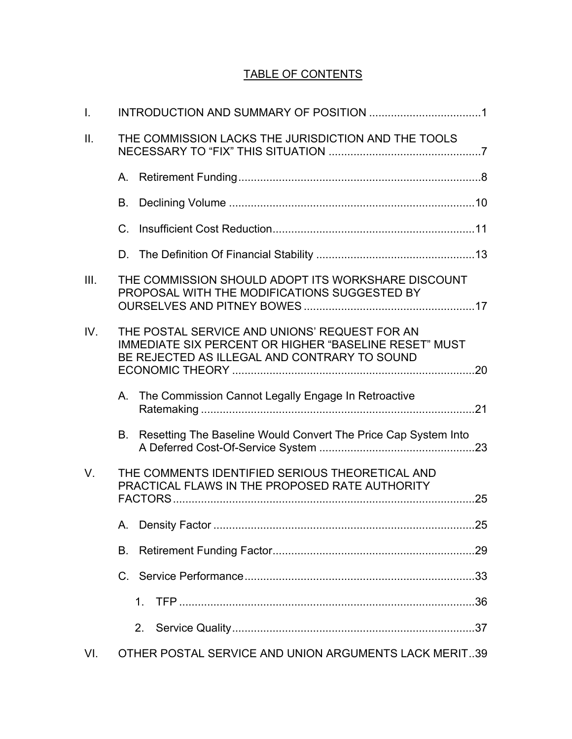# TABLE OF CONTENTS

| $\mathbf{I}$ . |             |                                                                                                                                                               |  |
|----------------|-------------|---------------------------------------------------------------------------------------------------------------------------------------------------------------|--|
| Ш.             |             | THE COMMISSION LACKS THE JURISDICTION AND THE TOOLS                                                                                                           |  |
|                |             |                                                                                                                                                               |  |
|                | В.          |                                                                                                                                                               |  |
|                | $C_{\cdot}$ |                                                                                                                                                               |  |
|                |             |                                                                                                                                                               |  |
| III.           |             | THE COMMISSION SHOULD ADOPT ITS WORKSHARE DISCOUNT<br>PROPOSAL WITH THE MODIFICATIONS SUGGESTED BY                                                            |  |
| IV.            |             | THE POSTAL SERVICE AND UNIONS' REQUEST FOR AN<br><b>IMMEDIATE SIX PERCENT OR HIGHER "BASELINE RESET" MUST</b><br>BE REJECTED AS ILLEGAL AND CONTRARY TO SOUND |  |
|                |             | A. The Commission Cannot Legally Engage In Retroactive                                                                                                        |  |
|                | В.          | Resetting The Baseline Would Convert The Price Cap System Into                                                                                                |  |
| $V_{\cdot}$    |             | THE COMMENTS IDENTIFIED SERIOUS THEORETICAL AND<br>PRACTICAL FLAWS IN THE PROPOSED RATE AUTHORITY                                                             |  |
|                |             |                                                                                                                                                               |  |
|                | В.          |                                                                                                                                                               |  |
|                |             |                                                                                                                                                               |  |
|                |             | $1_{-}$                                                                                                                                                       |  |
|                |             | 2.                                                                                                                                                            |  |
| VI.            |             | OTHER POSTAL SERVICE AND UNION ARGUMENTS LACK MERIT39                                                                                                         |  |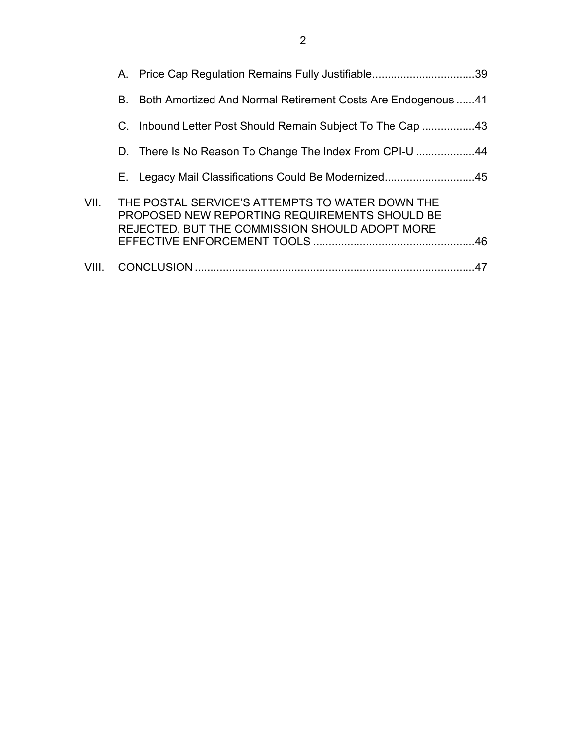|       | A. Price Cap Regulation Remains Fully Justifiable39                                                                                                |    |
|-------|----------------------------------------------------------------------------------------------------------------------------------------------------|----|
|       | B. Both Amortized And Normal Retirement Costs Are Endogenous 41                                                                                    |    |
|       | C. Inbound Letter Post Should Remain Subject To The Cap 43                                                                                         |    |
|       | D. There Is No Reason To Change The Index From CPI-U 44                                                                                            |    |
|       | E. Legacy Mail Classifications Could Be Modernized45                                                                                               |    |
| VII.  | THE POSTAL SERVICE'S ATTEMPTS TO WATER DOWN THE<br>PROPOSED NEW REPORTING REQUIREMENTS SHOULD BE<br>REJECTED, BUT THE COMMISSION SHOULD ADOPT MORE |    |
| VIII. |                                                                                                                                                    | 47 |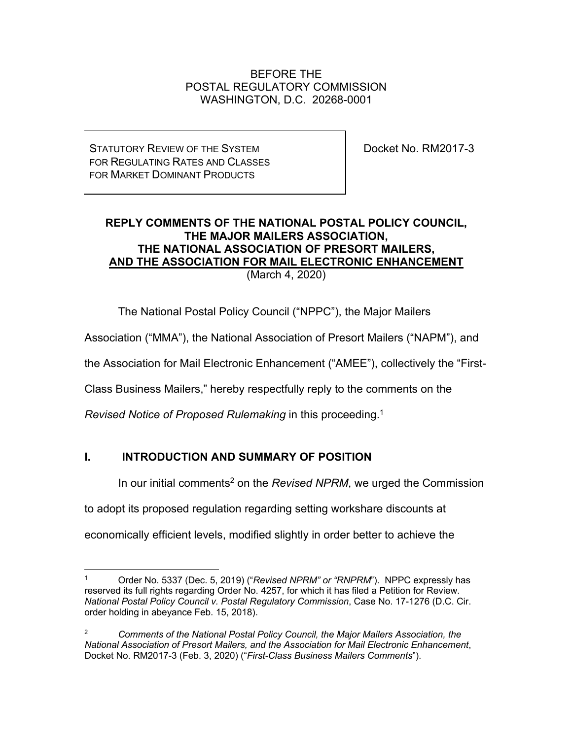# BEFORE THE POSTAL REGULATORY COMMISSION WASHINGTON, D.C. 20268-0001

STATUTORY REVIEW OF THE SYSTEM FOR REGULATING RATES AND CLASSES FOR MARKET DOMINANT PRODUCTS

Docket No. RM2017-3

# **REPLY COMMENTS OF THE NATIONAL POSTAL POLICY COUNCIL, THE MAJOR MAILERS ASSOCIATION, THE NATIONAL ASSOCIATION OF PRESORT MAILERS, AND THE ASSOCIATION FOR MAIL ELECTRONIC ENHANCEMENT** (March 4, 2020)

The National Postal Policy Council ("NPPC"), the Major Mailers

Association ("MMA"), the National Association of Presort Mailers ("NAPM"), and

the Association for Mail Electronic Enhancement ("AMEE"), collectively the "First-

Class Business Mailers," hereby respectfully reply to the comments on the

*Revised Notice of Proposed Rulemaking* in this proceeding.1

# **I. INTRODUCTION AND SUMMARY OF POSITION**

In our initial comments<sup>2</sup> on the *Revised NPRM*, we urged the Commission

to adopt its proposed regulation regarding setting workshare discounts at

economically efficient levels, modified slightly in order better to achieve the

<sup>1</sup> Order No. 5337 (Dec. 5, 2019) ("*Revised NPRM" or "RNPRM*"). NPPC expressly has reserved its full rights regarding Order No. 4257, for which it has filed a Petition for Review. *National Postal Policy Council v. Postal Regulatory Commission*, Case No. 17-1276 (D.C. Cir. order holding in abeyance Feb. 15, 2018).

<sup>2</sup> *Comments of the National Postal Policy Council, the Major Mailers Association, the National Association of Presort Mailers, and the Association for Mail Electronic Enhancement*, Docket No. RM2017-3 (Feb. 3, 2020) ("*First-Class Business Mailers Comments*").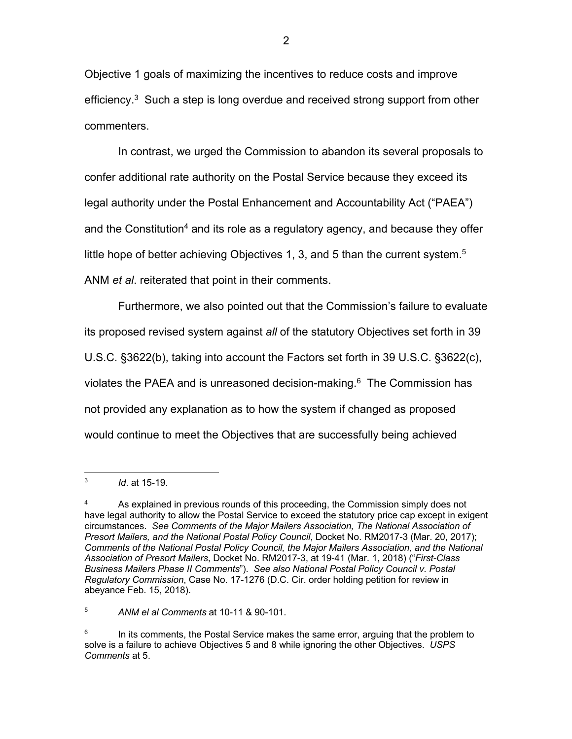Objective 1 goals of maximizing the incentives to reduce costs and improve efficiency. $3$  Such a step is long overdue and received strong support from other commenters.

In contrast, we urged the Commission to abandon its several proposals to confer additional rate authority on the Postal Service because they exceed its legal authority under the Postal Enhancement and Accountability Act ("PAEA") and the Constitution<sup>4</sup> and its role as a regulatory agency, and because they offer little hope of better achieving Objectives 1, 3, and 5 than the current system.<sup>5</sup> ANM *et al*. reiterated that point in their comments.

Furthermore, we also pointed out that the Commission's failure to evaluate its proposed revised system against *all* of the statutory Objectives set forth in 39 U.S.C. §3622(b), taking into account the Factors set forth in 39 U.S.C. §3622(c), violates the PAEA and is unreasoned decision-making. $6$  The Commission has not provided any explanation as to how the system if changed as proposed would continue to meet the Objectives that are successfully being achieved

<sup>5</sup> *ANM el al Comments* at 10-11 & 90-101.

<sup>3</sup> *Id*. at 15-19.

 $4 \overline{a}$  As explained in previous rounds of this proceeding, the Commission simply does not have legal authority to allow the Postal Service to exceed the statutory price cap except in exigent circumstances. *See Comments of the Major Mailers Association, The National Association of Presort Mailers, and the National Postal Policy Council*, Docket No. RM2017-3 (Mar. 20, 2017); *Comments of the National Postal Policy Council, the Major Mailers Association, and the National Association of Presort Mailers*, Docket No. RM2017-3, at 19-41 (Mar. 1, 2018) ("*First-Class Business Mailers Phase II Comments*"). *See also National Postal Policy Council v. Postal Regulatory Commission*, Case No. 17-1276 (D.C. Cir. order holding petition for review in abeyance Feb. 15, 2018).

 $6$  In its comments, the Postal Service makes the same error, arguing that the problem to solve is a failure to achieve Objectives 5 and 8 while ignoring the other Objectives. *USPS Comments* at 5.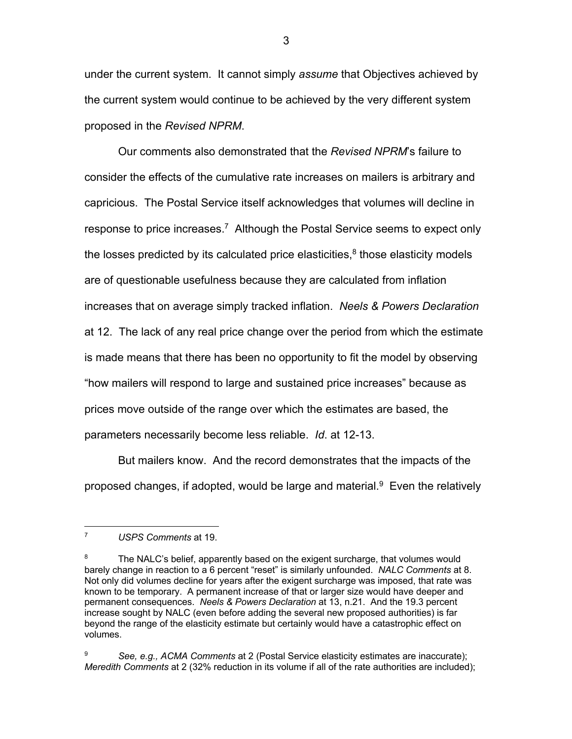under the current system. It cannot simply *assume* that Objectives achieved by the current system would continue to be achieved by the very different system proposed in the *Revised NPRM*.

Our comments also demonstrated that the *Revised NPRM*'s failure to consider the effects of the cumulative rate increases on mailers is arbitrary and capricious. The Postal Service itself acknowledges that volumes will decline in response to price increases.7 Although the Postal Service seems to expect only the losses predicted by its calculated price elasticities, $<sup>8</sup>$  those elasticity models</sup> are of questionable usefulness because they are calculated from inflation increases that on average simply tracked inflation. *Neels & Powers Declaration*  at 12. The lack of any real price change over the period from which the estimate is made means that there has been no opportunity to fit the model by observing "how mailers will respond to large and sustained price increases" because as prices move outside of the range over which the estimates are based, the parameters necessarily become less reliable. *Id*. at 12-13.

But mailers know. And the record demonstrates that the impacts of the proposed changes, if adopted, would be large and material. $9$  Even the relatively

<sup>7</sup> *USPS Comments* at 19.

 $8$  The NALC's belief, apparently based on the exigent surcharge, that volumes would barely change in reaction to a 6 percent "reset" is similarly unfounded. *NALC Comments* at 8. Not only did volumes decline for years after the exigent surcharge was imposed, that rate was known to be temporary. A permanent increase of that or larger size would have deeper and permanent consequences. *Neels & Powers Declaration* at 13, n.21. And the 19.3 percent increase sought by NALC (even before adding the several new proposed authorities) is far beyond the range of the elasticity estimate but certainly would have a catastrophic effect on volumes.

<sup>9</sup> *See, e.g., ACMA Comments* at 2 (Postal Service elasticity estimates are inaccurate); *Meredith Comments* at 2 (32% reduction in its volume if all of the rate authorities are included);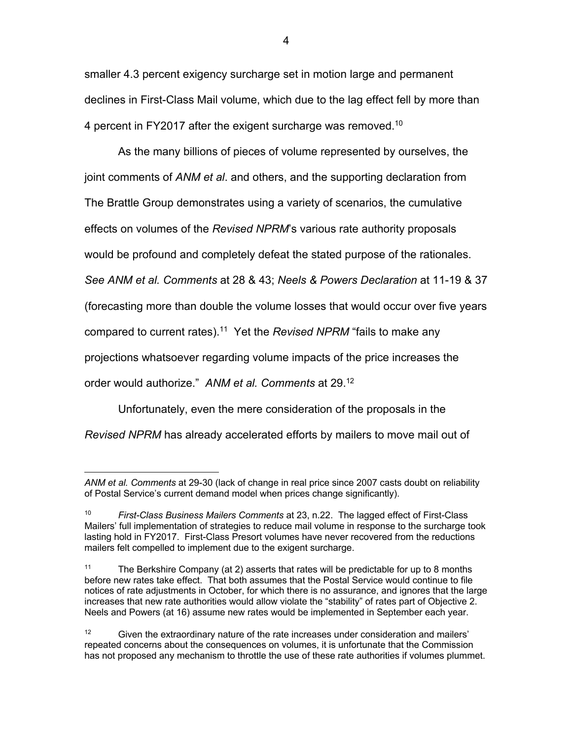smaller 4.3 percent exigency surcharge set in motion large and permanent declines in First-Class Mail volume, which due to the lag effect fell by more than 4 percent in FY2017 after the exigent surcharge was removed.<sup>10</sup>

As the many billions of pieces of volume represented by ourselves, the joint comments of *ANM et al*. and others, and the supporting declaration from The Brattle Group demonstrates using a variety of scenarios, the cumulative effects on volumes of the *Revised NPRM*'s various rate authority proposals would be profound and completely defeat the stated purpose of the rationales. *See ANM et al. Comments* at 28 & 43; *Neels & Powers Declaration* at 11-19 & 37 (forecasting more than double the volume losses that would occur over five years compared to current rates). 11 Yet the *Revised NPRM* "fails to make any projections whatsoever regarding volume impacts of the price increases the order would authorize." *ANM et al. Comments* at 29.12

Unfortunately, even the mere consideration of the proposals in the

*Revised NPRM* has already accelerated efforts by mailers to move mail out of

*ANM et al. Comments* at 29-30 (lack of change in real price since 2007 casts doubt on reliability of Postal Service's current demand model when prices change significantly).

<sup>10</sup> *First-Class Business Mailers Comments* at 23, n.22. The lagged effect of First-Class Mailers' full implementation of strategies to reduce mail volume in response to the surcharge took lasting hold in FY2017. First-Class Presort volumes have never recovered from the reductions mailers felt compelled to implement due to the exigent surcharge.

<sup>&</sup>lt;sup>11</sup> The Berkshire Company (at 2) asserts that rates will be predictable for up to 8 months before new rates take effect. That both assumes that the Postal Service would continue to file notices of rate adjustments in October, for which there is no assurance, and ignores that the large increases that new rate authorities would allow violate the "stability" of rates part of Objective 2. Neels and Powers (at 16) assume new rates would be implemented in September each year.

<sup>&</sup>lt;sup>12</sup> Given the extraordinary nature of the rate increases under consideration and mailers' repeated concerns about the consequences on volumes, it is unfortunate that the Commission has not proposed any mechanism to throttle the use of these rate authorities if volumes plummet.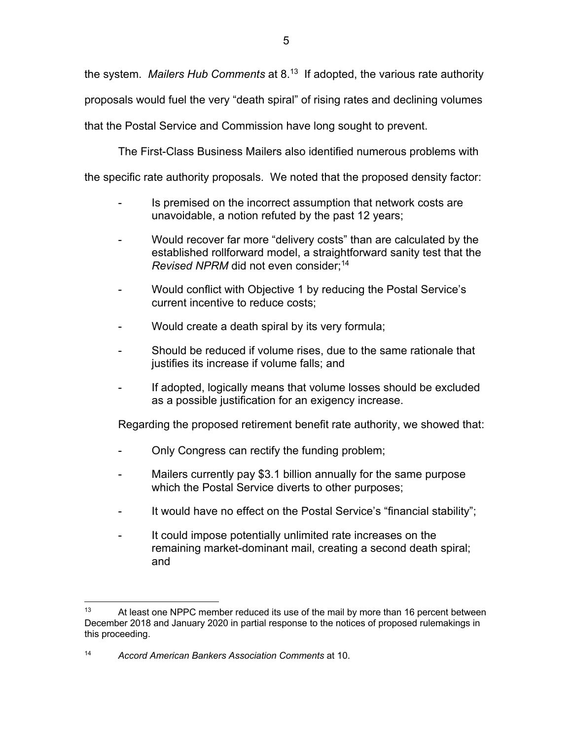the system. *Mailers Hub Comments* at 8.13 If adopted, the various rate authority proposals would fuel the very "death spiral" of rising rates and declining volumes that the Postal Service and Commission have long sought to prevent.

The First-Class Business Mailers also identified numerous problems with

the specific rate authority proposals. We noted that the proposed density factor:

- Is premised on the incorrect assumption that network costs are unavoidable, a notion refuted by the past 12 years;
- Would recover far more "delivery costs" than are calculated by the established rollforward model, a straightforward sanity test that the *Revised NPRM* did not even consider:<sup>14</sup>
- Would conflict with Objective 1 by reducing the Postal Service's current incentive to reduce costs;
- Would create a death spiral by its very formula;
- Should be reduced if volume rises, due to the same rationale that justifies its increase if volume falls; and
- If adopted, logically means that volume losses should be excluded as a possible justification for an exigency increase.

Regarding the proposed retirement benefit rate authority, we showed that:

- Only Congress can rectify the funding problem;
- Mailers currently pay \$3.1 billion annually for the same purpose which the Postal Service diverts to other purposes;
- It would have no effect on the Postal Service's "financial stability";
- It could impose potentially unlimited rate increases on the remaining market-dominant mail, creating a second death spiral; and

 $13$  At least one NPPC member reduced its use of the mail by more than 16 percent between December 2018 and January 2020 in partial response to the notices of proposed rulemakings in this proceeding.

<sup>14</sup> *Accord American Bankers Association Comments* at 10.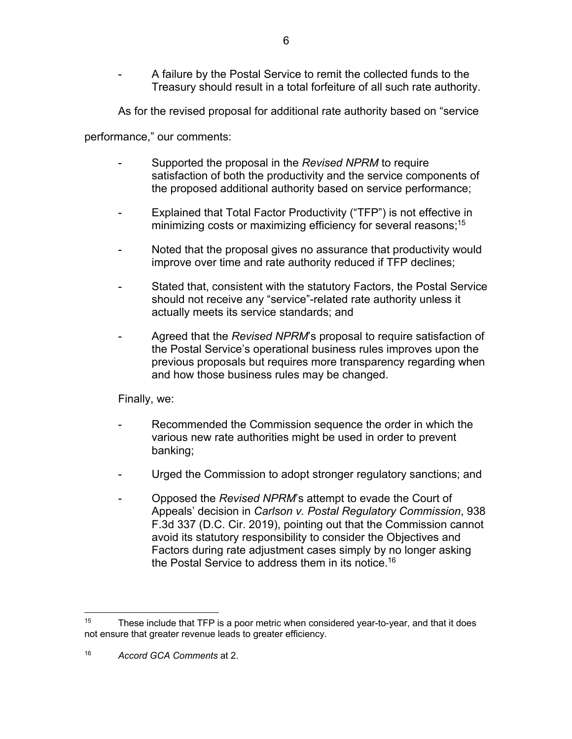A failure by the Postal Service to remit the collected funds to the Treasury should result in a total forfeiture of all such rate authority.

As for the revised proposal for additional rate authority based on "service

performance," our comments:

- Supported the proposal in the *Revised NPRM* to require satisfaction of both the productivity and the service components of the proposed additional authority based on service performance;
- Explained that Total Factor Productivity ("TFP") is not effective in minimizing costs or maximizing efficiency for several reasons; 15
- Noted that the proposal gives no assurance that productivity would improve over time and rate authority reduced if TFP declines;
- Stated that, consistent with the statutory Factors, the Postal Service should not receive any "service"-related rate authority unless it actually meets its service standards; and
- Agreed that the *Revised NPRM*'s proposal to require satisfaction of the Postal Service's operational business rules improves upon the previous proposals but requires more transparency regarding when and how those business rules may be changed.

Finally, we:

- Recommended the Commission sequence the order in which the various new rate authorities might be used in order to prevent banking;
- Urged the Commission to adopt stronger regulatory sanctions; and
- Opposed the *Revised NPRM*'s attempt to evade the Court of Appeals' decision in *Carlson v. Postal Regulatory Commission*, 938 F.3d 337 (D.C. Cir. 2019), pointing out that the Commission cannot avoid its statutory responsibility to consider the Objectives and Factors during rate adjustment cases simply by no longer asking the Postal Service to address them in its notice.<sup>16</sup>

<sup>&</sup>lt;sup>15</sup> These include that TFP is a poor metric when considered year-to-year, and that it does not ensure that greater revenue leads to greater efficiency.

<sup>16</sup> *Accord GCA Comments* at 2.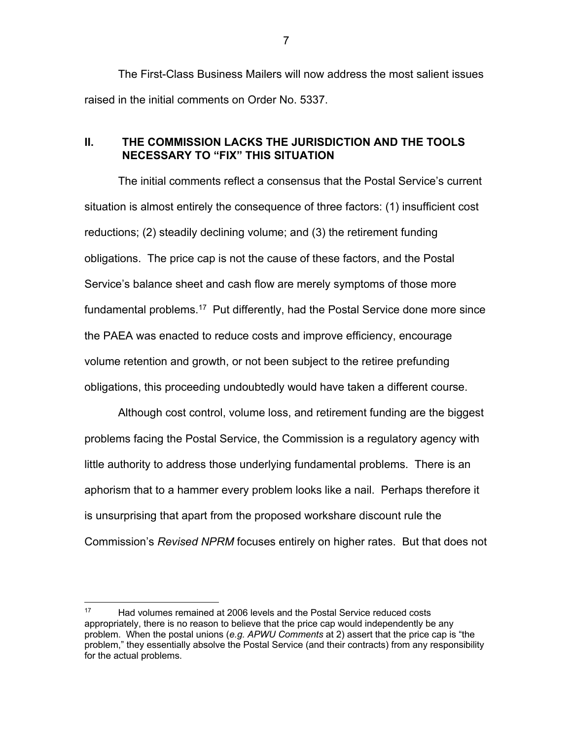The First-Class Business Mailers will now address the most salient issues raised in the initial comments on Order No. 5337.

# **II. THE COMMISSION LACKS THE JURISDICTION AND THE TOOLS NECESSARY TO "FIX" THIS SITUATION**

The initial comments reflect a consensus that the Postal Service's current situation is almost entirely the consequence of three factors: (1) insufficient cost reductions; (2) steadily declining volume; and (3) the retirement funding obligations. The price cap is not the cause of these factors, and the Postal Service's balance sheet and cash flow are merely symptoms of those more fundamental problems.<sup>17</sup> Put differently, had the Postal Service done more since the PAEA was enacted to reduce costs and improve efficiency, encourage volume retention and growth, or not been subject to the retiree prefunding obligations, this proceeding undoubtedly would have taken a different course.

Although cost control, volume loss, and retirement funding are the biggest problems facing the Postal Service, the Commission is a regulatory agency with little authority to address those underlying fundamental problems. There is an aphorism that to a hammer every problem looks like a nail. Perhaps therefore it is unsurprising that apart from the proposed workshare discount rule the Commission's *Revised NPRM* focuses entirely on higher rates. But that does not

 $17$  Had volumes remained at 2006 levels and the Postal Service reduced costs appropriately, there is no reason to believe that the price cap would independently be any problem. When the postal unions (*e.g. APWU Comments* at 2) assert that the price cap is "the problem," they essentially absolve the Postal Service (and their contracts) from any responsibility for the actual problems.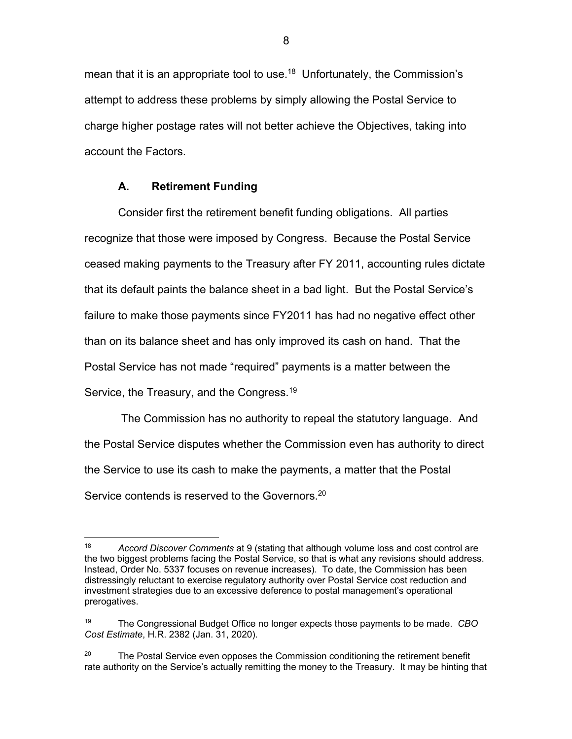mean that it is an appropriate tool to use.<sup>18</sup> Unfortunately, the Commission's attempt to address these problems by simply allowing the Postal Service to charge higher postage rates will not better achieve the Objectives, taking into account the Factors.

### **A. Retirement Funding**

Consider first the retirement benefit funding obligations. All parties recognize that those were imposed by Congress. Because the Postal Service ceased making payments to the Treasury after FY 2011, accounting rules dictate that its default paints the balance sheet in a bad light. But the Postal Service's failure to make those payments since FY2011 has had no negative effect other than on its balance sheet and has only improved its cash on hand. That the Postal Service has not made "required" payments is a matter between the Service, the Treasury, and the Congress.19

The Commission has no authority to repeal the statutory language. And the Postal Service disputes whether the Commission even has authority to direct the Service to use its cash to make the payments, a matter that the Postal Service contends is reserved to the Governors.<sup>20</sup>

<sup>18</sup> *Accord Discover Comments* at 9 (stating that although volume loss and cost control are the two biggest problems facing the Postal Service, so that is what any revisions should address. Instead, Order No. 5337 focuses on revenue increases). To date, the Commission has been distressingly reluctant to exercise regulatory authority over Postal Service cost reduction and investment strategies due to an excessive deference to postal management's operational prerogatives.

<sup>19</sup> The Congressional Budget Office no longer expects those payments to be made. *CBO Cost Estimate*, H.R. 2382 (Jan. 31, 2020).

<sup>&</sup>lt;sup>20</sup> The Postal Service even opposes the Commission conditioning the retirement benefit rate authority on the Service's actually remitting the money to the Treasury. It may be hinting that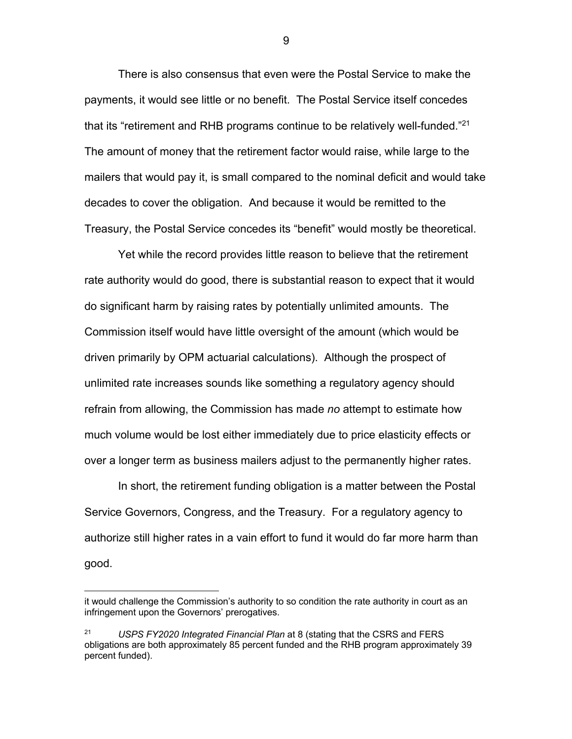There is also consensus that even were the Postal Service to make the payments, it would see little or no benefit. The Postal Service itself concedes that its "retirement and RHB programs continue to be relatively well-funded."<sup>21</sup> The amount of money that the retirement factor would raise, while large to the mailers that would pay it, is small compared to the nominal deficit and would take decades to cover the obligation. And because it would be remitted to the Treasury, the Postal Service concedes its "benefit" would mostly be theoretical.

Yet while the record provides little reason to believe that the retirement rate authority would do good, there is substantial reason to expect that it would do significant harm by raising rates by potentially unlimited amounts. The Commission itself would have little oversight of the amount (which would be driven primarily by OPM actuarial calculations). Although the prospect of unlimited rate increases sounds like something a regulatory agency should refrain from allowing, the Commission has made *no* attempt to estimate how much volume would be lost either immediately due to price elasticity effects or over a longer term as business mailers adjust to the permanently higher rates.

In short, the retirement funding obligation is a matter between the Postal Service Governors, Congress, and the Treasury. For a regulatory agency to authorize still higher rates in a vain effort to fund it would do far more harm than good.

it would challenge the Commission's authority to so condition the rate authority in court as an infringement upon the Governors' prerogatives.

<sup>21</sup> *USPS FY2020 Integrated Financial Plan* at 8 (stating that the CSRS and FERS obligations are both approximately 85 percent funded and the RHB program approximately 39 percent funded).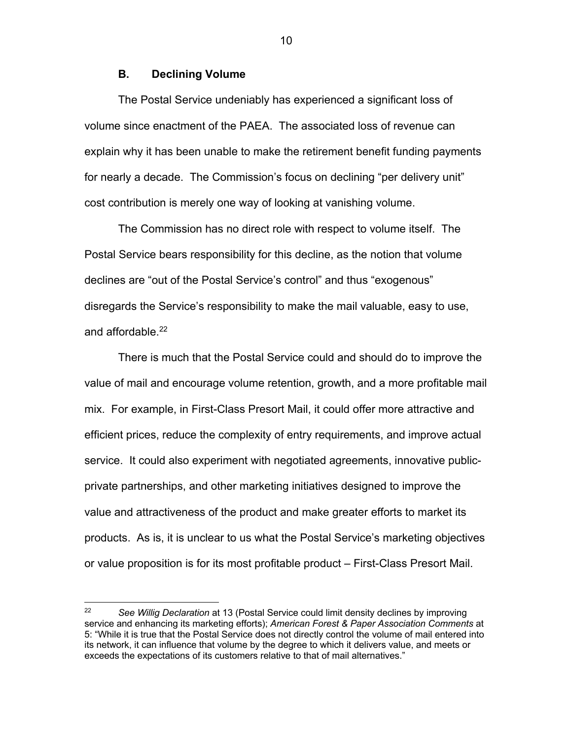### **B. Declining Volume**

The Postal Service undeniably has experienced a significant loss of volume since enactment of the PAEA. The associated loss of revenue can explain why it has been unable to make the retirement benefit funding payments for nearly a decade. The Commission's focus on declining "per delivery unit" cost contribution is merely one way of looking at vanishing volume.

The Commission has no direct role with respect to volume itself. The Postal Service bears responsibility for this decline, as the notion that volume declines are "out of the Postal Service's control" and thus "exogenous" disregards the Service's responsibility to make the mail valuable, easy to use, and affordable. 22

There is much that the Postal Service could and should do to improve the value of mail and encourage volume retention, growth, and a more profitable mail mix. For example, in First-Class Presort Mail, it could offer more attractive and efficient prices, reduce the complexity of entry requirements, and improve actual service. It could also experiment with negotiated agreements, innovative publicprivate partnerships, and other marketing initiatives designed to improve the value and attractiveness of the product and make greater efforts to market its products. As is, it is unclear to us what the Postal Service's marketing objectives or value proposition is for its most profitable product – First-Class Presort Mail.

<sup>22</sup> *See Willig Declaration* at 13 (Postal Service could limit density declines by improving service and enhancing its marketing efforts); *American Forest & Paper Association Comments* at 5: "While it is true that the Postal Service does not directly control the volume of mail entered into its network, it can influence that volume by the degree to which it delivers value, and meets or exceeds the expectations of its customers relative to that of mail alternatives."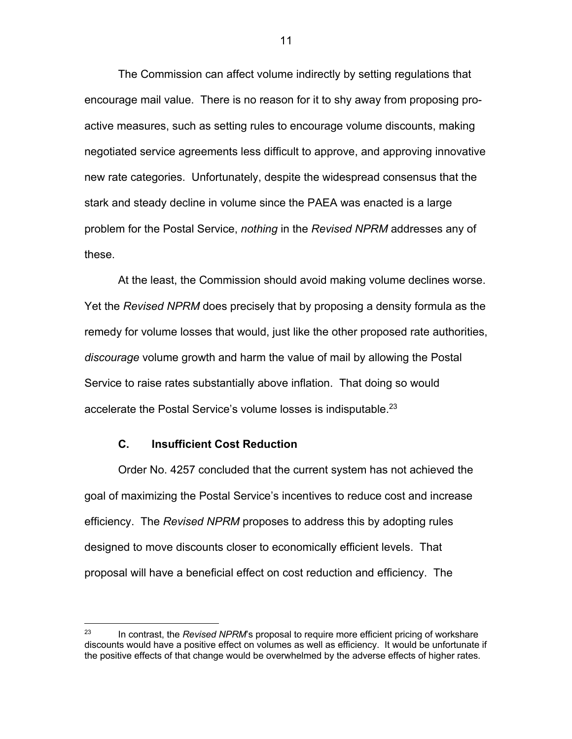The Commission can affect volume indirectly by setting regulations that encourage mail value. There is no reason for it to shy away from proposing proactive measures, such as setting rules to encourage volume discounts, making negotiated service agreements less difficult to approve, and approving innovative new rate categories. Unfortunately, despite the widespread consensus that the stark and steady decline in volume since the PAEA was enacted is a large problem for the Postal Service, *nothing* in the *Revised NPRM* addresses any of these.

At the least, the Commission should avoid making volume declines worse. Yet the *Revised NPRM* does precisely that by proposing a density formula as the remedy for volume losses that would, just like the other proposed rate authorities, *discourage* volume growth and harm the value of mail by allowing the Postal Service to raise rates substantially above inflation. That doing so would accelerate the Postal Service's volume losses is indisputable.<sup>23</sup>

# **C. Insufficient Cost Reduction**

Order No. 4257 concluded that the current system has not achieved the goal of maximizing the Postal Service's incentives to reduce cost and increase efficiency. The *Revised NPRM* proposes to address this by adopting rules designed to move discounts closer to economically efficient levels. That proposal will have a beneficial effect on cost reduction and efficiency. The

<sup>&</sup>lt;sup>23</sup> In contrast, the *Revised NPRM*'s proposal to require more efficient pricing of workshare discounts would have a positive effect on volumes as well as efficiency. It would be unfortunate if the positive effects of that change would be overwhelmed by the adverse effects of higher rates.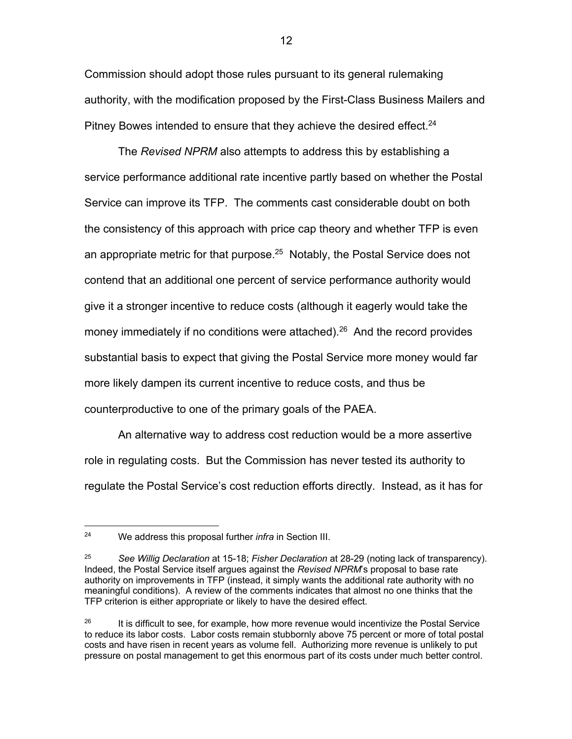Commission should adopt those rules pursuant to its general rulemaking authority, with the modification proposed by the First-Class Business Mailers and Pitney Bowes intended to ensure that they achieve the desired effect.<sup>24</sup>

The *Revised NPRM* also attempts to address this by establishing a service performance additional rate incentive partly based on whether the Postal Service can improve its TFP. The comments cast considerable doubt on both the consistency of this approach with price cap theory and whether TFP is even an appropriate metric for that purpose.<sup>25</sup> Notably, the Postal Service does not contend that an additional one percent of service performance authority would give it a stronger incentive to reduce costs (although it eagerly would take the money immediately if no conditions were attached).<sup>26</sup> And the record provides substantial basis to expect that giving the Postal Service more money would far more likely dampen its current incentive to reduce costs, and thus be counterproductive to one of the primary goals of the PAEA.

An alternative way to address cost reduction would be a more assertive role in regulating costs. But the Commission has never tested its authority to regulate the Postal Service's cost reduction efforts directly. Instead, as it has for

<sup>24</sup> We address this proposal further *infra* in Section III.

<sup>25</sup> *See Willig Declaration* at 15-18; *Fisher Declaration* at 28-29 (noting lack of transparency). Indeed, the Postal Service itself argues against the *Revised NPRM*'s proposal to base rate authority on improvements in TFP (instead, it simply wants the additional rate authority with no meaningful conditions). A review of the comments indicates that almost no one thinks that the TFP criterion is either appropriate or likely to have the desired effect.

 $26$  It is difficult to see, for example, how more revenue would incentivize the Postal Service to reduce its labor costs. Labor costs remain stubbornly above 75 percent or more of total postal costs and have risen in recent years as volume fell. Authorizing more revenue is unlikely to put pressure on postal management to get this enormous part of its costs under much better control.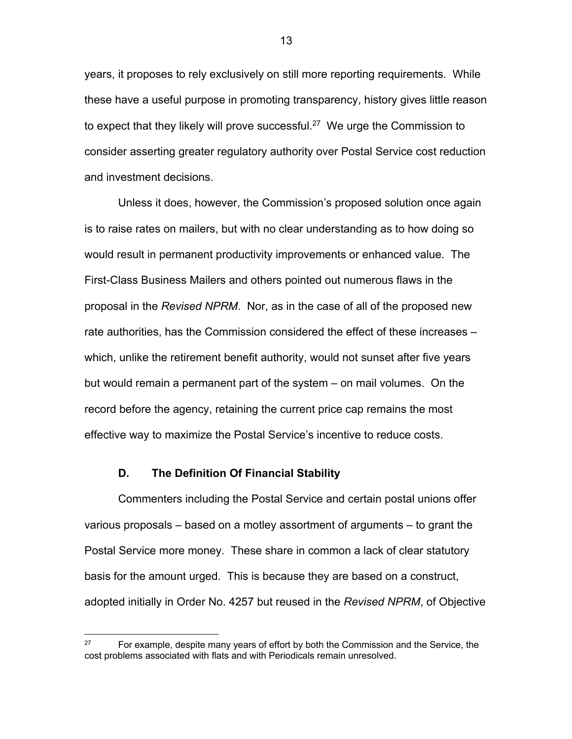years, it proposes to rely exclusively on still more reporting requirements. While these have a useful purpose in promoting transparency, history gives little reason to expect that they likely will prove successful.<sup>27</sup> We urge the Commission to consider asserting greater regulatory authority over Postal Service cost reduction and investment decisions.

Unless it does, however, the Commission's proposed solution once again is to raise rates on mailers, but with no clear understanding as to how doing so would result in permanent productivity improvements or enhanced value. The First-Class Business Mailers and others pointed out numerous flaws in the proposal in the *Revised NPRM*. Nor, as in the case of all of the proposed new rate authorities, has the Commission considered the effect of these increases – which, unlike the retirement benefit authority, would not sunset after five years but would remain a permanent part of the system – on mail volumes. On the record before the agency, retaining the current price cap remains the most effective way to maximize the Postal Service's incentive to reduce costs.

### **D. The Definition Of Financial Stability**

Commenters including the Postal Service and certain postal unions offer various proposals – based on a motley assortment of arguments – to grant the Postal Service more money. These share in common a lack of clear statutory basis for the amount urged. This is because they are based on a construct, adopted initially in Order No. 4257 but reused in the *Revised NPRM*, of Objective

 $27$  For example, despite many years of effort by both the Commission and the Service, the cost problems associated with flats and with Periodicals remain unresolved.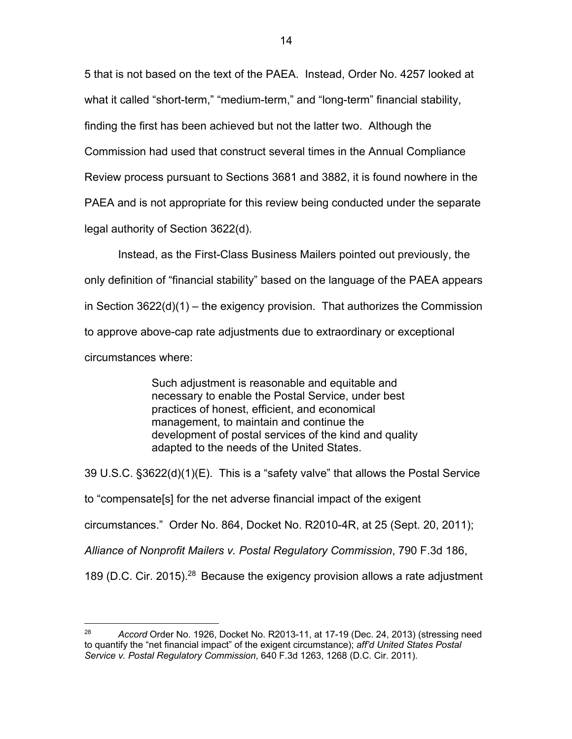5 that is not based on the text of the PAEA. Instead, Order No. 4257 looked at what it called "short-term," "medium-term," and "long-term" financial stability, finding the first has been achieved but not the latter two. Although the Commission had used that construct several times in the Annual Compliance Review process pursuant to Sections 3681 and 3882, it is found nowhere in the PAEA and is not appropriate for this review being conducted under the separate legal authority of Section 3622(d).

Instead, as the First-Class Business Mailers pointed out previously, the only definition of "financial stability" based on the language of the PAEA appears in Section 3622(d)(1) – the exigency provision. That authorizes the Commission to approve above-cap rate adjustments due to extraordinary or exceptional circumstances where:

> Such adjustment is reasonable and equitable and necessary to enable the Postal Service, under best practices of honest, efficient, and economical management, to maintain and continue the development of postal services of the kind and quality adapted to the needs of the United States.

39 U.S.C. §3622(d)(1)(E). This is a "safety valve" that allows the Postal Service to "compensate[s] for the net adverse financial impact of the exigent circumstances." Order No. 864, Docket No. R2010-4R, at 25 (Sept. 20, 2011); *Alliance of Nonprofit Mailers v. Postal Regulatory Commission*, 790 F.3d 186, 189 (D.C. Cir. 2015).<sup>28</sup> Because the exigency provision allows a rate adjustment

<sup>28</sup> *Accord* Order No. 1926, Docket No. R2013-11, at 17-19 (Dec. 24, 2013) (stressing need to quantify the "net financial impact" of the exigent circumstance); *aff'd United States Postal Service v. Postal Regulatory Commission*, 640 F.3d 1263, 1268 (D.C. Cir. 2011).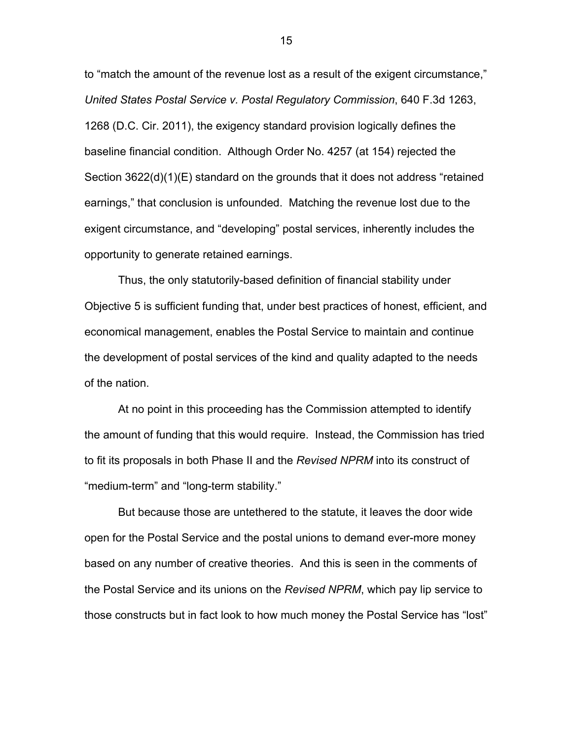to "match the amount of the revenue lost as a result of the exigent circumstance," *United States Postal Service v. Postal Regulatory Commission*, 640 F.3d 1263, 1268 (D.C. Cir. 2011), the exigency standard provision logically defines the baseline financial condition. Although Order No. 4257 (at 154) rejected the Section 3622(d)(1)(E) standard on the grounds that it does not address "retained earnings," that conclusion is unfounded. Matching the revenue lost due to the exigent circumstance, and "developing" postal services, inherently includes the opportunity to generate retained earnings.

Thus, the only statutorily-based definition of financial stability under Objective 5 is sufficient funding that, under best practices of honest, efficient, and economical management, enables the Postal Service to maintain and continue the development of postal services of the kind and quality adapted to the needs of the nation.

At no point in this proceeding has the Commission attempted to identify the amount of funding that this would require. Instead, the Commission has tried to fit its proposals in both Phase II and the *Revised NPRM* into its construct of "medium-term" and "long-term stability."

But because those are untethered to the statute, it leaves the door wide open for the Postal Service and the postal unions to demand ever-more money based on any number of creative theories. And this is seen in the comments of the Postal Service and its unions on the *Revised NPRM*, which pay lip service to those constructs but in fact look to how much money the Postal Service has "lost"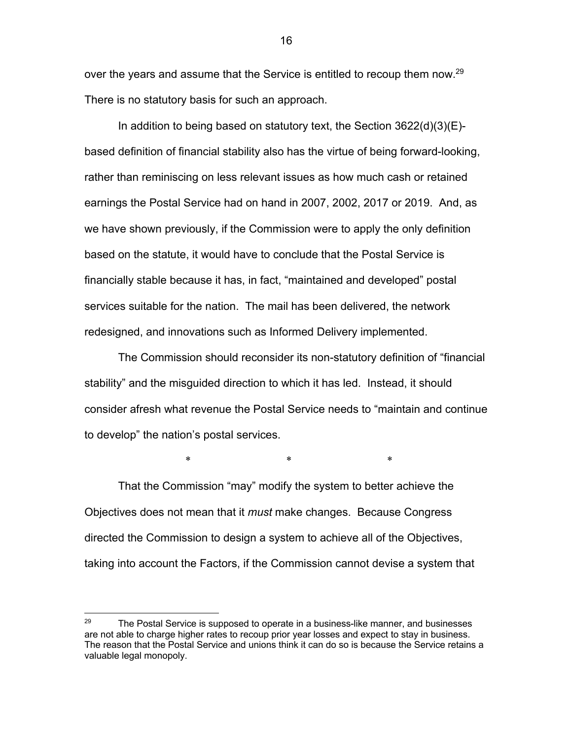over the years and assume that the Service is entitled to recoup them now.<sup>29</sup> There is no statutory basis for such an approach.

In addition to being based on statutory text, the Section 3622(d)(3)(E) based definition of financial stability also has the virtue of being forward-looking, rather than reminiscing on less relevant issues as how much cash or retained earnings the Postal Service had on hand in 2007, 2002, 2017 or 2019. And, as we have shown previously, if the Commission were to apply the only definition based on the statute, it would have to conclude that the Postal Service is financially stable because it has, in fact, "maintained and developed" postal services suitable for the nation. The mail has been delivered, the network redesigned, and innovations such as Informed Delivery implemented.

The Commission should reconsider its non-statutory definition of "financial stability" and the misguided direction to which it has led. Instead, it should consider afresh what revenue the Postal Service needs to "maintain and continue to develop" the nation's postal services.

 $*$  \*  $*$  \*  $*$ 

That the Commission "may" modify the system to better achieve the Objectives does not mean that it *must* make changes. Because Congress directed the Commission to design a system to achieve all of the Objectives, taking into account the Factors, if the Commission cannot devise a system that

 $29$  The Postal Service is supposed to operate in a business-like manner, and businesses are not able to charge higher rates to recoup prior year losses and expect to stay in business. The reason that the Postal Service and unions think it can do so is because the Service retains a valuable legal monopoly.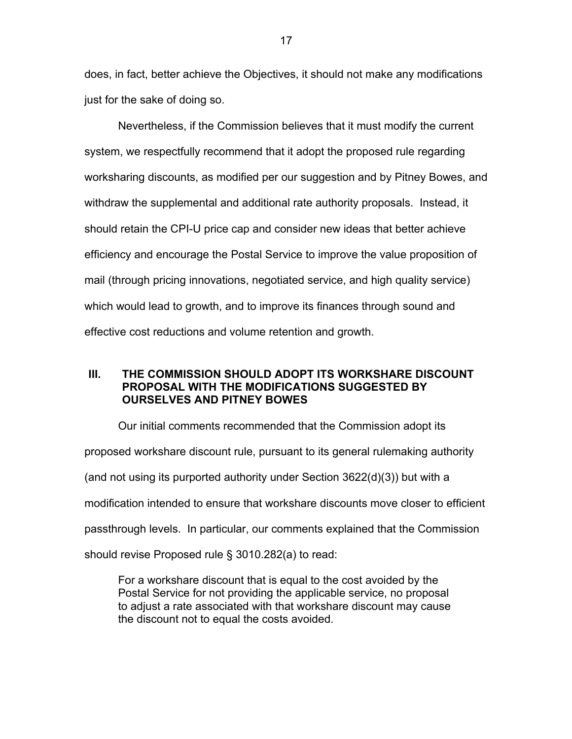does, in fact, better achieve the Objectives, it should not make any modifications just for the sake of doing so.

Nevertheless, if the Commission believes that it must modify the current system, we respectfully recommend that it adopt the proposed rule regarding worksharing discounts, as modified per our suggestion and by Pitney Bowes, and withdraw the supplemental and additional rate authority proposals. Instead, it should retain the CPI-U price cap and consider new ideas that better achieve efficiency and encourage the Postal Service to improve the value proposition of mail (through pricing innovations, negotiated service, and high quality service) which would lead to growth, and to improve its finances through sound and effective cost reductions and volume retention and growth.

# **III. THE COMMISSION SHOULD ADOPT ITS WORKSHARE DISCOUNT PROPOSAL WITH THE MODIFICATIONS SUGGESTED BY OURSELVES AND PITNEY BOWES**

Our initial comments recommended that the Commission adopt its proposed workshare discount rule, pursuant to its general rulemaking authority (and not using its purported authority under Section  $3622(d)(3)$ ) but with a modification intended to ensure that workshare discounts move closer to efficient passthrough levels. In particular, our comments explained that the Commission should revise Proposed rule § 3010.282(a) to read:

For a workshare discount that is equal to the cost avoided by the Postal Service for not providing the applicable service, no proposal to adjust a rate associated with that workshare discount may cause the discount not to equal the costs avoided.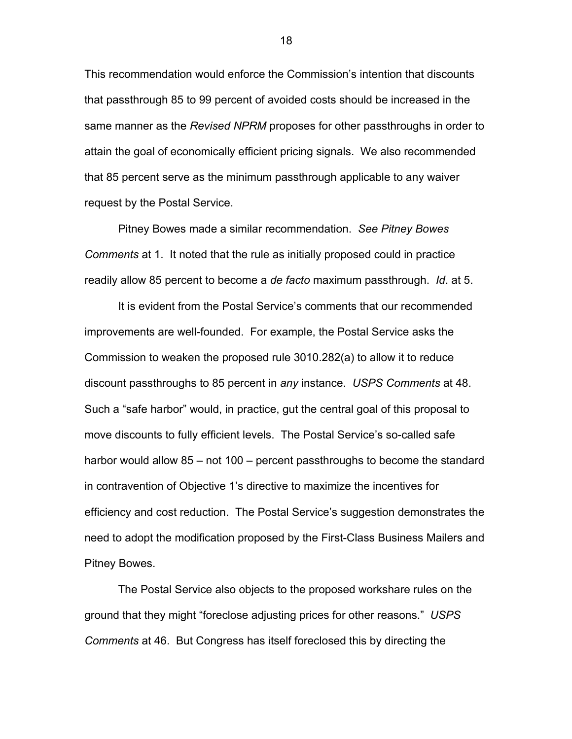This recommendation would enforce the Commission's intention that discounts that passthrough 85 to 99 percent of avoided costs should be increased in the same manner as the *Revised NPRM* proposes for other passthroughs in order to attain the goal of economically efficient pricing signals. We also recommended that 85 percent serve as the minimum passthrough applicable to any waiver request by the Postal Service.

Pitney Bowes made a similar recommendation. *See Pitney Bowes Comments* at 1. It noted that the rule as initially proposed could in practice readily allow 85 percent to become a *de facto* maximum passthrough. *Id*. at 5.

It is evident from the Postal Service's comments that our recommended improvements are well-founded. For example, the Postal Service asks the Commission to weaken the proposed rule 3010.282(a) to allow it to reduce discount passthroughs to 85 percent in *any* instance. *USPS Comments* at 48. Such a "safe harbor" would, in practice, gut the central goal of this proposal to move discounts to fully efficient levels. The Postal Service's so-called safe harbor would allow 85 – not 100 – percent passthroughs to become the standard in contravention of Objective 1's directive to maximize the incentives for efficiency and cost reduction. The Postal Service's suggestion demonstrates the need to adopt the modification proposed by the First-Class Business Mailers and Pitney Bowes.

The Postal Service also objects to the proposed workshare rules on the ground that they might "foreclose adjusting prices for other reasons." *USPS Comments* at 46. But Congress has itself foreclosed this by directing the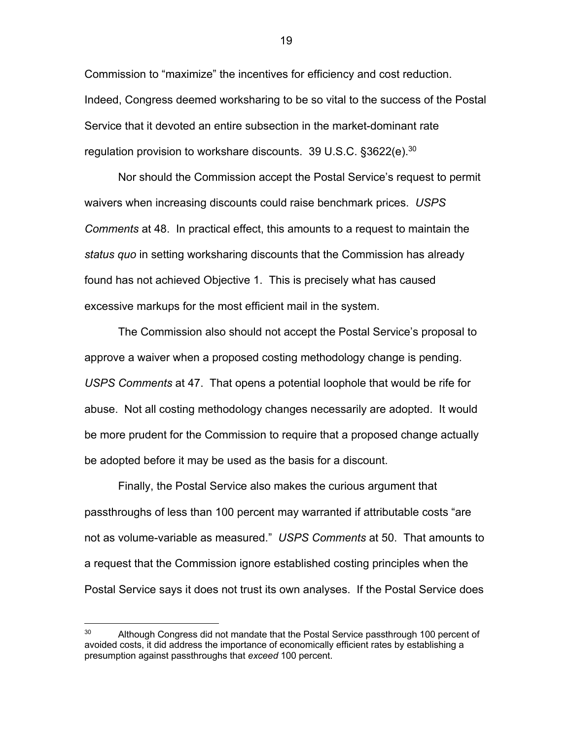Commission to "maximize" the incentives for efficiency and cost reduction. Indeed, Congress deemed worksharing to be so vital to the success of the Postal Service that it devoted an entire subsection in the market-dominant rate regulation provision to workshare discounts. 39 U.S.C. §3622(e).<sup>30</sup>

Nor should the Commission accept the Postal Service's request to permit waivers when increasing discounts could raise benchmark prices. *USPS Comments* at 48. In practical effect, this amounts to a request to maintain the *status quo* in setting worksharing discounts that the Commission has already found has not achieved Objective 1. This is precisely what has caused excessive markups for the most efficient mail in the system.

The Commission also should not accept the Postal Service's proposal to approve a waiver when a proposed costing methodology change is pending. *USPS Comments* at 47. That opens a potential loophole that would be rife for abuse. Not all costing methodology changes necessarily are adopted. It would be more prudent for the Commission to require that a proposed change actually be adopted before it may be used as the basis for a discount.

Finally, the Postal Service also makes the curious argument that passthroughs of less than 100 percent may warranted if attributable costs "are not as volume-variable as measured." *USPS Comments* at 50. That amounts to a request that the Commission ignore established costing principles when the Postal Service says it does not trust its own analyses. If the Postal Service does

<sup>&</sup>lt;sup>30</sup> Although Congress did not mandate that the Postal Service passthrough 100 percent of avoided costs, it did address the importance of economically efficient rates by establishing a presumption against passthroughs that *exceed* 100 percent.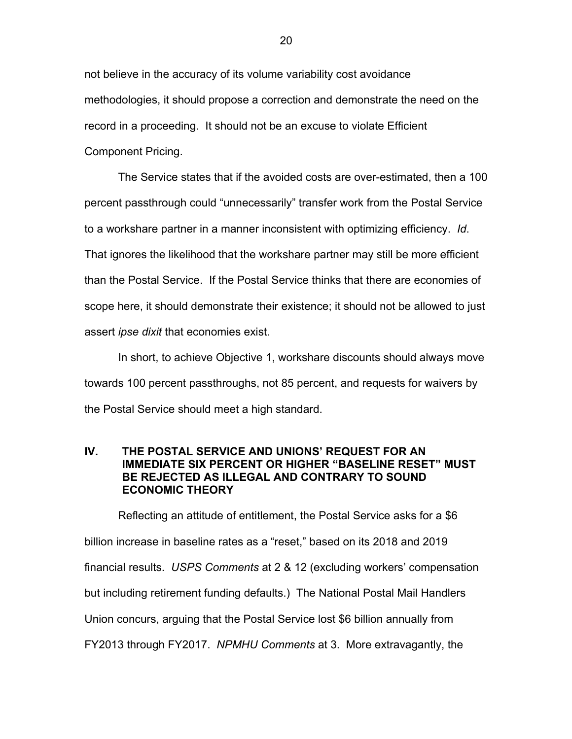not believe in the accuracy of its volume variability cost avoidance methodologies, it should propose a correction and demonstrate the need on the record in a proceeding. It should not be an excuse to violate Efficient Component Pricing.

The Service states that if the avoided costs are over-estimated, then a 100 percent passthrough could "unnecessarily" transfer work from the Postal Service to a workshare partner in a manner inconsistent with optimizing efficiency. *Id*. That ignores the likelihood that the workshare partner may still be more efficient than the Postal Service. If the Postal Service thinks that there are economies of scope here, it should demonstrate their existence; it should not be allowed to just assert *ipse dixit* that economies exist.

In short, to achieve Objective 1, workshare discounts should always move towards 100 percent passthroughs, not 85 percent, and requests for waivers by the Postal Service should meet a high standard.

# **IV. THE POSTAL SERVICE AND UNIONS' REQUEST FOR AN IMMEDIATE SIX PERCENT OR HIGHER "BASELINE RESET" MUST BE REJECTED AS ILLEGAL AND CONTRARY TO SOUND ECONOMIC THEORY**

Reflecting an attitude of entitlement, the Postal Service asks for a \$6 billion increase in baseline rates as a "reset," based on its 2018 and 2019 financial results. *USPS Comments* at 2 & 12 (excluding workers' compensation but including retirement funding defaults.) The National Postal Mail Handlers Union concurs, arguing that the Postal Service lost \$6 billion annually from FY2013 through FY2017. *NPMHU Comments* at 3. More extravagantly, the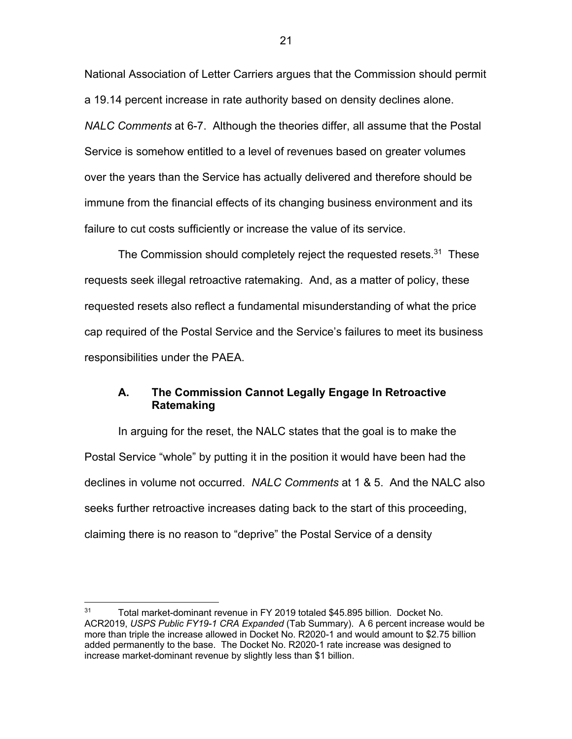National Association of Letter Carriers argues that the Commission should permit a 19.14 percent increase in rate authority based on density declines alone. *NALC Comments* at 6-7. Although the theories differ, all assume that the Postal Service is somehow entitled to a level of revenues based on greater volumes over the years than the Service has actually delivered and therefore should be immune from the financial effects of its changing business environment and its failure to cut costs sufficiently or increase the value of its service.

The Commission should completely reject the requested resets.<sup>31</sup> These requests seek illegal retroactive ratemaking. And, as a matter of policy, these requested resets also reflect a fundamental misunderstanding of what the price cap required of the Postal Service and the Service's failures to meet its business responsibilities under the PAEA.

# **A. The Commission Cannot Legally Engage In Retroactive Ratemaking**

In arguing for the reset, the NALC states that the goal is to make the Postal Service "whole" by putting it in the position it would have been had the declines in volume not occurred. *NALC Comments* at 1 & 5. And the NALC also seeks further retroactive increases dating back to the start of this proceeding, claiming there is no reason to "deprive" the Postal Service of a density

<sup>&</sup>lt;sup>31</sup> Total market-dominant revenue in FY 2019 totaled \$45.895 billion. Docket No. ACR2019, *USPS Public FY19-1 CRA Expanded* (Tab Summary). A 6 percent increase would be more than triple the increase allowed in Docket No. R2020-1 and would amount to \$2.75 billion added permanently to the base. The Docket No. R2020-1 rate increase was designed to increase market-dominant revenue by slightly less than \$1 billion.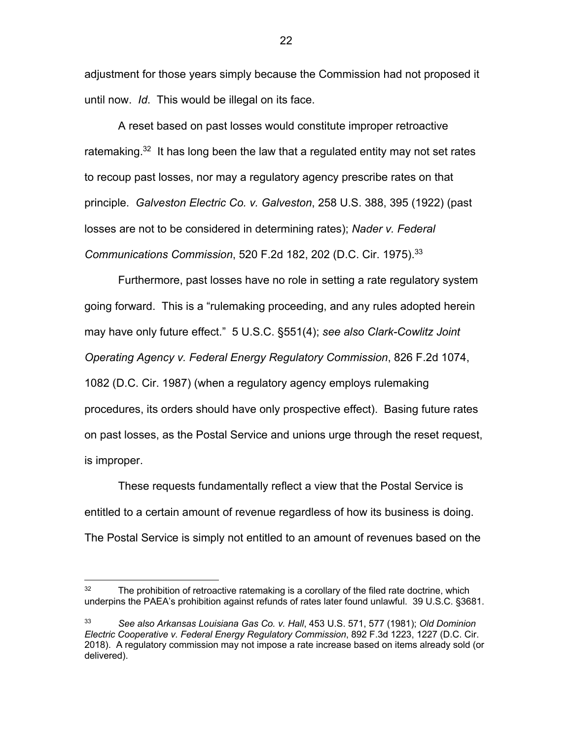adjustment for those years simply because the Commission had not proposed it until now. *Id*. This would be illegal on its face.

A reset based on past losses would constitute improper retroactive ratemaking.<sup>32</sup> It has long been the law that a regulated entity may not set rates to recoup past losses, nor may a regulatory agency prescribe rates on that principle. *Galveston Electric Co. v. Galveston*, 258 U.S. 388, 395 (1922) (past losses are not to be considered in determining rates); *Nader v. Federal Communications Commission*, 520 F.2d 182, 202 (D.C. Cir. 1975).33

Furthermore, past losses have no role in setting a rate regulatory system going forward. This is a "rulemaking proceeding, and any rules adopted herein may have only future effect." 5 U.S.C. §551(4); *see also Clark-Cowlitz Joint Operating Agency v. Federal Energy Regulatory Commission*, 826 F.2d 1074, 1082 (D.C. Cir. 1987) (when a regulatory agency employs rulemaking procedures, its orders should have only prospective effect). Basing future rates on past losses, as the Postal Service and unions urge through the reset request, is improper.

These requests fundamentally reflect a view that the Postal Service is entitled to a certain amount of revenue regardless of how its business is doing. The Postal Service is simply not entitled to an amount of revenues based on the

 $32$  The prohibition of retroactive ratemaking is a corollary of the filed rate doctrine, which underpins the PAEA's prohibition against refunds of rates later found unlawful. 39 U.S.C. §3681.

<sup>33</sup> *See also Arkansas Louisiana Gas Co. v. Hall*, 453 U.S. 571, 577 (1981); *Old Dominion Electric Cooperative v. Federal Energy Regulatory Commission*, 892 F.3d 1223, 1227 (D.C. Cir. 2018). A regulatory commission may not impose a rate increase based on items already sold (or delivered).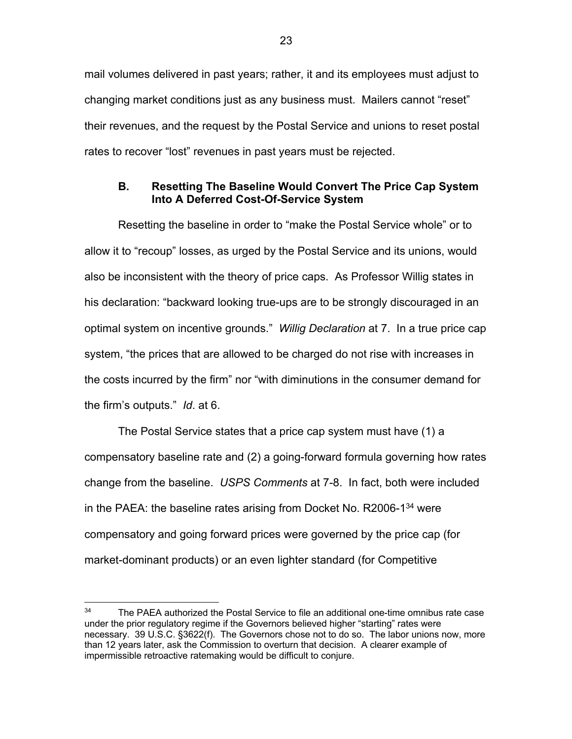mail volumes delivered in past years; rather, it and its employees must adjust to changing market conditions just as any business must. Mailers cannot "reset" their revenues, and the request by the Postal Service and unions to reset postal rates to recover "lost" revenues in past years must be rejected.

# **B. Resetting The Baseline Would Convert The Price Cap System Into A Deferred Cost-Of-Service System**

Resetting the baseline in order to "make the Postal Service whole" or to allow it to "recoup" losses, as urged by the Postal Service and its unions, would also be inconsistent with the theory of price caps. As Professor Willig states in his declaration: "backward looking true-ups are to be strongly discouraged in an optimal system on incentive grounds." *Willig Declaration* at 7. In a true price cap system, "the prices that are allowed to be charged do not rise with increases in the costs incurred by the firm" nor "with diminutions in the consumer demand for the firm's outputs." *Id*. at 6.

The Postal Service states that a price cap system must have (1) a compensatory baseline rate and (2) a going-forward formula governing how rates change from the baseline. *USPS Comments* at 7-8. In fact, both were included in the PAEA: the baseline rates arising from Docket No. R2006-1 $34$  were compensatory and going forward prices were governed by the price cap (for market-dominant products) or an even lighter standard (for Competitive

<sup>&</sup>lt;sup>34</sup> The PAEA authorized the Postal Service to file an additional one-time omnibus rate case under the prior regulatory regime if the Governors believed higher "starting" rates were necessary. 39 U.S.C. §3622(f). The Governors chose not to do so. The labor unions now, more than 12 years later, ask the Commission to overturn that decision. A clearer example of impermissible retroactive ratemaking would be difficult to conjure.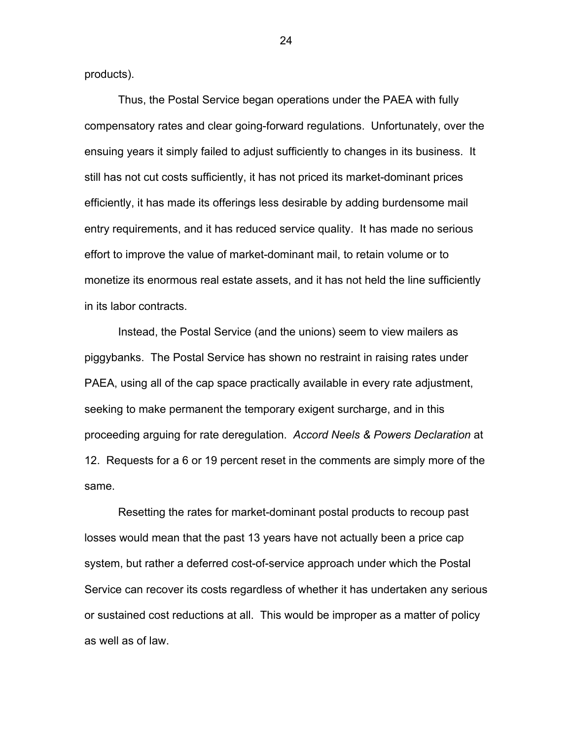products).

Thus, the Postal Service began operations under the PAEA with fully compensatory rates and clear going-forward regulations. Unfortunately, over the ensuing years it simply failed to adjust sufficiently to changes in its business. It still has not cut costs sufficiently, it has not priced its market-dominant prices efficiently, it has made its offerings less desirable by adding burdensome mail entry requirements, and it has reduced service quality. It has made no serious effort to improve the value of market-dominant mail, to retain volume or to monetize its enormous real estate assets, and it has not held the line sufficiently in its labor contracts.

Instead, the Postal Service (and the unions) seem to view mailers as piggybanks. The Postal Service has shown no restraint in raising rates under PAEA, using all of the cap space practically available in every rate adjustment, seeking to make permanent the temporary exigent surcharge, and in this proceeding arguing for rate deregulation. *Accord Neels & Powers Declaration* at 12. Requests for a 6 or 19 percent reset in the comments are simply more of the same.

Resetting the rates for market-dominant postal products to recoup past losses would mean that the past 13 years have not actually been a price cap system, but rather a deferred cost-of-service approach under which the Postal Service can recover its costs regardless of whether it has undertaken any serious or sustained cost reductions at all. This would be improper as a matter of policy as well as of law.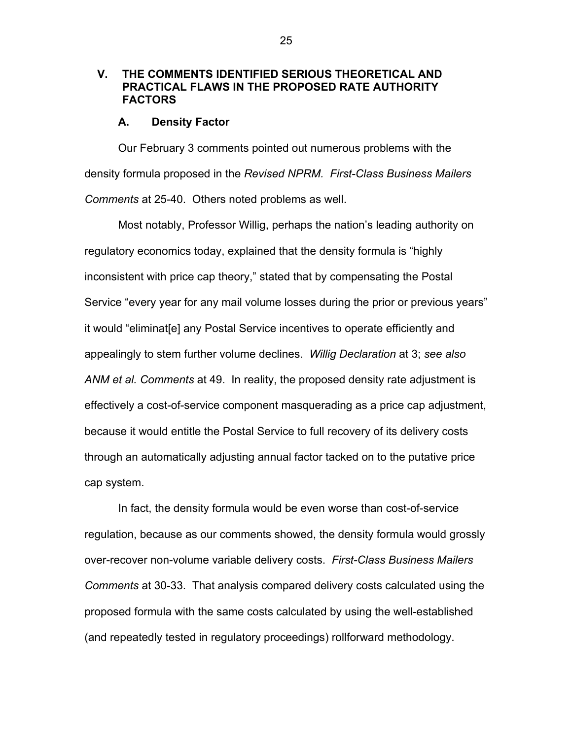# **V. THE COMMENTS IDENTIFIED SERIOUS THEORETICAL AND PRACTICAL FLAWS IN THE PROPOSED RATE AUTHORITY FACTORS**

### **A. Density Factor**

Our February 3 comments pointed out numerous problems with the density formula proposed in the *Revised NPRM. First-Class Business Mailers Comments* at 25-40. Others noted problems as well.

Most notably, Professor Willig, perhaps the nation's leading authority on regulatory economics today, explained that the density formula is "highly inconsistent with price cap theory," stated that by compensating the Postal Service "every year for any mail volume losses during the prior or previous years" it would "eliminat[e] any Postal Service incentives to operate efficiently and appealingly to stem further volume declines. *Willig Declaration* at 3; *see also ANM et al. Comments* at 49. In reality, the proposed density rate adjustment is effectively a cost-of-service component masquerading as a price cap adjustment, because it would entitle the Postal Service to full recovery of its delivery costs through an automatically adjusting annual factor tacked on to the putative price cap system.

In fact, the density formula would be even worse than cost-of-service regulation, because as our comments showed, the density formula would grossly over-recover non-volume variable delivery costs. *First-Class Business Mailers Comments* at 30-33. That analysis compared delivery costs calculated using the proposed formula with the same costs calculated by using the well-established (and repeatedly tested in regulatory proceedings) rollforward methodology.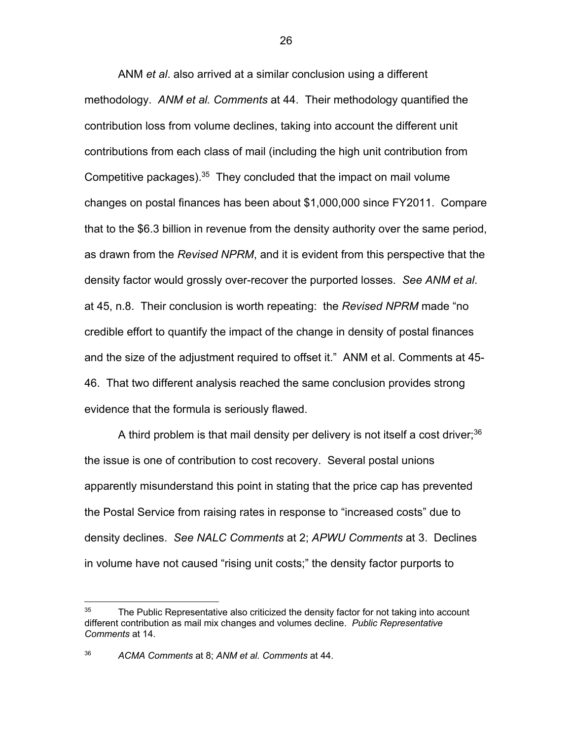ANM *et al*. also arrived at a similar conclusion using a different methodology. *ANM et al. Comments* at 44. Their methodology quantified the contribution loss from volume declines, taking into account the different unit contributions from each class of mail (including the high unit contribution from Competitive packages). $35$  They concluded that the impact on mail volume changes on postal finances has been about \$1,000,000 since FY2011. Compare that to the \$6.3 billion in revenue from the density authority over the same period, as drawn from the *Revised NPRM*, and it is evident from this perspective that the density factor would grossly over-recover the purported losses. *See ANM et al*. at 45, n.8. Their conclusion is worth repeating: the *Revised NPRM* made "no credible effort to quantify the impact of the change in density of postal finances and the size of the adjustment required to offset it." ANM et al. Comments at 45- 46. That two different analysis reached the same conclusion provides strong evidence that the formula is seriously flawed.

A third problem is that mail density per delivery is not itself a cost driver;<sup>36</sup> the issue is one of contribution to cost recovery. Several postal unions apparently misunderstand this point in stating that the price cap has prevented the Postal Service from raising rates in response to "increased costs" due to density declines. *See NALC Comments* at 2; *APWU Comments* at 3. Declines in volume have not caused "rising unit costs;" the density factor purports to

<sup>&</sup>lt;sup>35</sup> The Public Representative also criticized the density factor for not taking into account different contribution as mail mix changes and volumes decline. *Public Representative Comments* at 14.

<sup>36</sup> *ACMA Comments* at 8; *ANM et al. Comments* at 44.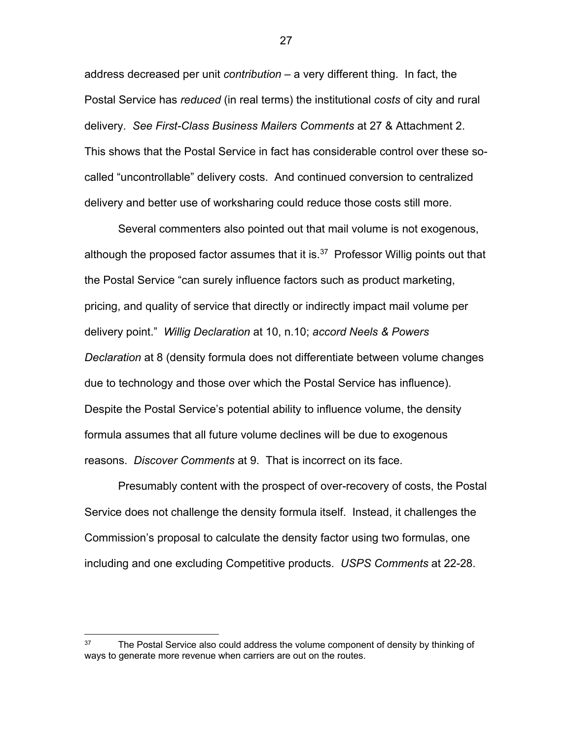address decreased per unit *contribution* – a very different thing. In fact, the Postal Service has *reduced* (in real terms) the institutional *costs* of city and rural delivery. *See First-Class Business Mailers Comments* at 27 & Attachment 2. This shows that the Postal Service in fact has considerable control over these socalled "uncontrollable" delivery costs. And continued conversion to centralized delivery and better use of worksharing could reduce those costs still more.

Several commenters also pointed out that mail volume is not exogenous, although the proposed factor assumes that it is. $37$  Professor Willig points out that the Postal Service "can surely influence factors such as product marketing, pricing, and quality of service that directly or indirectly impact mail volume per delivery point." *Willig Declaration* at 10, n.10; *accord Neels & Powers Declaration* at 8 (density formula does not differentiate between volume changes due to technology and those over which the Postal Service has influence). Despite the Postal Service's potential ability to influence volume, the density formula assumes that all future volume declines will be due to exogenous reasons. *Discover Comments* at 9. That is incorrect on its face.

Presumably content with the prospect of over-recovery of costs, the Postal Service does not challenge the density formula itself. Instead, it challenges the Commission's proposal to calculate the density factor using two formulas, one including and one excluding Competitive products. *USPS Comments* at 22-28.

 $37$  The Postal Service also could address the volume component of density by thinking of ways to generate more revenue when carriers are out on the routes.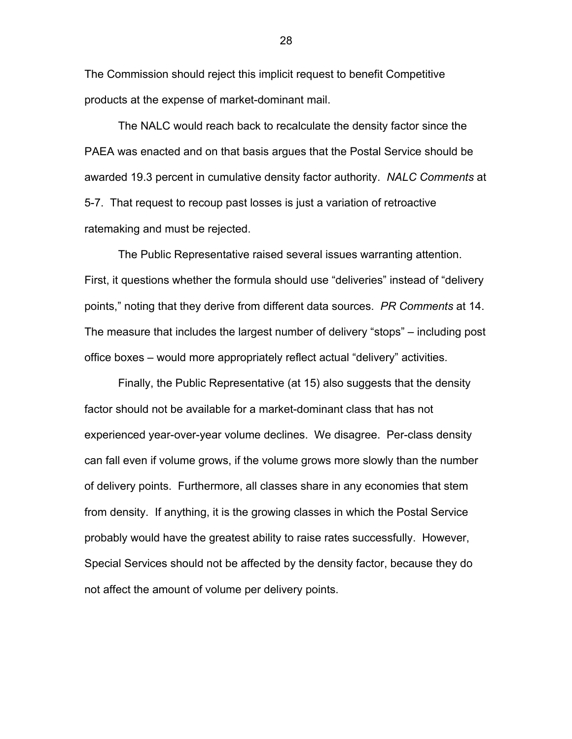The Commission should reject this implicit request to benefit Competitive products at the expense of market-dominant mail.

The NALC would reach back to recalculate the density factor since the PAEA was enacted and on that basis argues that the Postal Service should be awarded 19.3 percent in cumulative density factor authority. *NALC Comments* at 5-7. That request to recoup past losses is just a variation of retroactive ratemaking and must be rejected.

The Public Representative raised several issues warranting attention. First, it questions whether the formula should use "deliveries" instead of "delivery points," noting that they derive from different data sources. *PR Comments* at 14. The measure that includes the largest number of delivery "stops" – including post office boxes – would more appropriately reflect actual "delivery" activities.

Finally, the Public Representative (at 15) also suggests that the density factor should not be available for a market-dominant class that has not experienced year-over-year volume declines. We disagree. Per-class density can fall even if volume grows, if the volume grows more slowly than the number of delivery points. Furthermore, all classes share in any economies that stem from density. If anything, it is the growing classes in which the Postal Service probably would have the greatest ability to raise rates successfully. However, Special Services should not be affected by the density factor, because they do not affect the amount of volume per delivery points.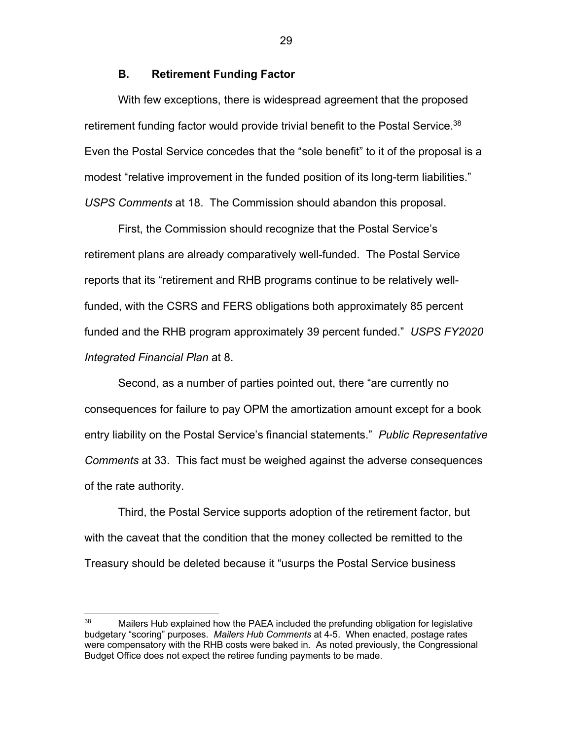### **B. Retirement Funding Factor**

With few exceptions, there is widespread agreement that the proposed retirement funding factor would provide trivial benefit to the Postal Service.<sup>38</sup> Even the Postal Service concedes that the "sole benefit" to it of the proposal is a modest "relative improvement in the funded position of its long-term liabilities." *USPS Comments* at 18. The Commission should abandon this proposal.

First, the Commission should recognize that the Postal Service's retirement plans are already comparatively well-funded. The Postal Service reports that its "retirement and RHB programs continue to be relatively wellfunded, with the CSRS and FERS obligations both approximately 85 percent funded and the RHB program approximately 39 percent funded." *USPS FY2020 Integrated Financial Plan* at 8.

Second, as a number of parties pointed out, there "are currently no consequences for failure to pay OPM the amortization amount except for a book entry liability on the Postal Service's financial statements." *Public Representative Comments* at 33. This fact must be weighed against the adverse consequences of the rate authority.

Third, the Postal Service supports adoption of the retirement factor, but with the caveat that the condition that the money collected be remitted to the Treasury should be deleted because it "usurps the Postal Service business

<sup>&</sup>lt;sup>38</sup> Mailers Hub explained how the PAEA included the prefunding obligation for legislative budgetary "scoring" purposes. *Mailers Hub Comments* at 4-5. When enacted, postage rates were compensatory with the RHB costs were baked in. As noted previously, the Congressional Budget Office does not expect the retiree funding payments to be made.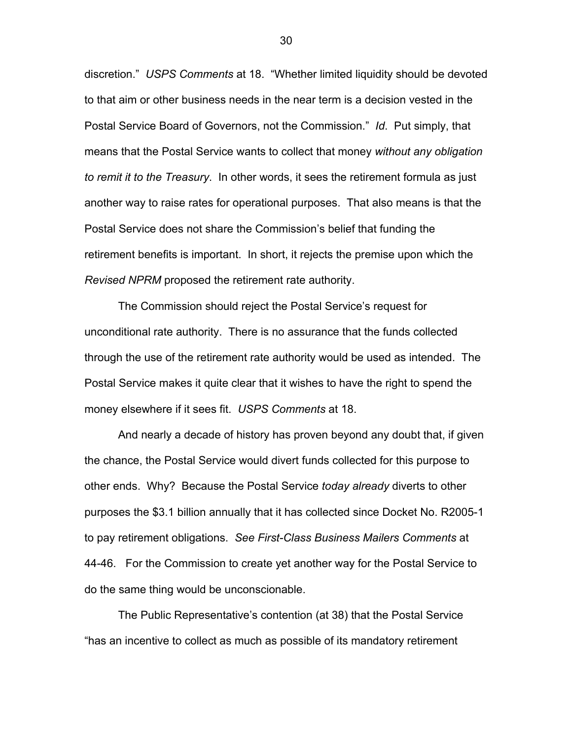discretion." *USPS Comments* at 18. "Whether limited liquidity should be devoted to that aim or other business needs in the near term is a decision vested in the Postal Service Board of Governors, not the Commission." *Id*. Put simply, that means that the Postal Service wants to collect that money *without any obligation to remit it to the Treasury*. In other words, it sees the retirement formula as just another way to raise rates for operational purposes. That also means is that the Postal Service does not share the Commission's belief that funding the retirement benefits is important. In short, it rejects the premise upon which the *Revised NPRM* proposed the retirement rate authority.

The Commission should reject the Postal Service's request for unconditional rate authority. There is no assurance that the funds collected through the use of the retirement rate authority would be used as intended. The Postal Service makes it quite clear that it wishes to have the right to spend the money elsewhere if it sees fit. *USPS Comments* at 18.

And nearly a decade of history has proven beyond any doubt that, if given the chance, the Postal Service would divert funds collected for this purpose to other ends. Why? Because the Postal Service *today already* diverts to other purposes the \$3.1 billion annually that it has collected since Docket No. R2005-1 to pay retirement obligations. *See First-Class Business Mailers Comments* at 44-46. For the Commission to create yet another way for the Postal Service to do the same thing would be unconscionable.

The Public Representative's contention (at 38) that the Postal Service "has an incentive to collect as much as possible of its mandatory retirement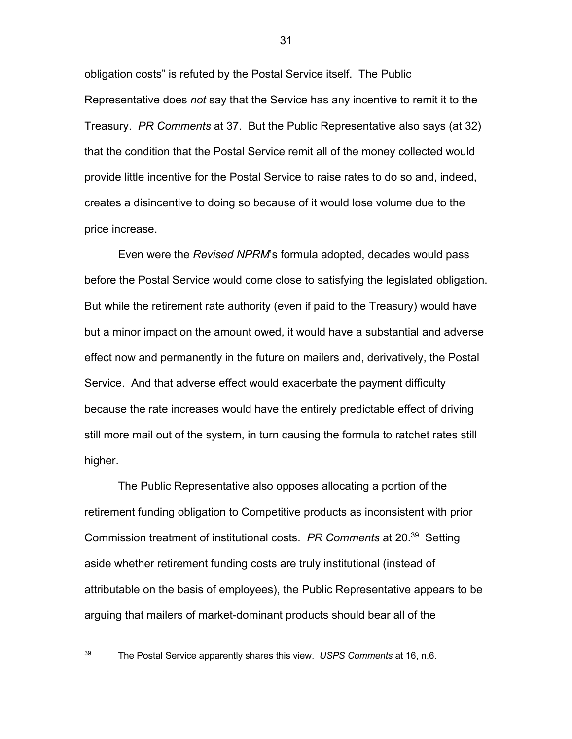obligation costs" is refuted by the Postal Service itself. The Public Representative does *not* say that the Service has any incentive to remit it to the Treasury. *PR Comments* at 37. But the Public Representative also says (at 32) that the condition that the Postal Service remit all of the money collected would provide little incentive for the Postal Service to raise rates to do so and, indeed, creates a disincentive to doing so because of it would lose volume due to the price increase.

Even were the *Revised NPRM*'s formula adopted, decades would pass before the Postal Service would come close to satisfying the legislated obligation. But while the retirement rate authority (even if paid to the Treasury) would have but a minor impact on the amount owed, it would have a substantial and adverse effect now and permanently in the future on mailers and, derivatively, the Postal Service. And that adverse effect would exacerbate the payment difficulty because the rate increases would have the entirely predictable effect of driving still more mail out of the system, in turn causing the formula to ratchet rates still higher.

The Public Representative also opposes allocating a portion of the retirement funding obligation to Competitive products as inconsistent with prior Commission treatment of institutional costs. *PR Comments* at 20.39 Setting aside whether retirement funding costs are truly institutional (instead of attributable on the basis of employees), the Public Representative appears to be arguing that mailers of market-dominant products should bear all of the

<sup>39</sup> The Postal Service apparently shares this view. *USPS Comments* at 16, n.6.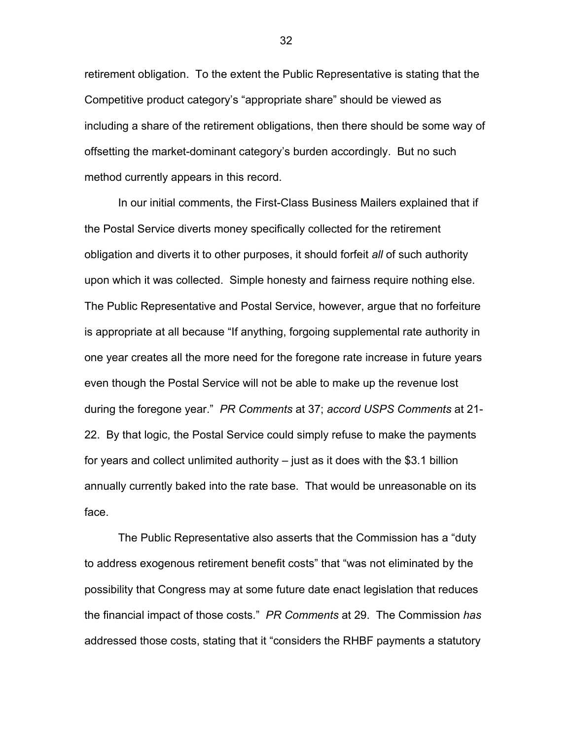retirement obligation. To the extent the Public Representative is stating that the Competitive product category's "appropriate share" should be viewed as including a share of the retirement obligations, then there should be some way of offsetting the market-dominant category's burden accordingly. But no such method currently appears in this record.

In our initial comments, the First-Class Business Mailers explained that if the Postal Service diverts money specifically collected for the retirement obligation and diverts it to other purposes, it should forfeit *all* of such authority upon which it was collected. Simple honesty and fairness require nothing else. The Public Representative and Postal Service, however, argue that no forfeiture is appropriate at all because "If anything, forgoing supplemental rate authority in one year creates all the more need for the foregone rate increase in future years even though the Postal Service will not be able to make up the revenue lost during the foregone year." *PR Comments* at 37; *accord USPS Comments* at 21- 22. By that logic, the Postal Service could simply refuse to make the payments for years and collect unlimited authority – just as it does with the \$3.1 billion annually currently baked into the rate base. That would be unreasonable on its face.

The Public Representative also asserts that the Commission has a "duty to address exogenous retirement benefit costs" that "was not eliminated by the possibility that Congress may at some future date enact legislation that reduces the financial impact of those costs." *PR Comments* at 29. The Commission *has* addressed those costs, stating that it "considers the RHBF payments a statutory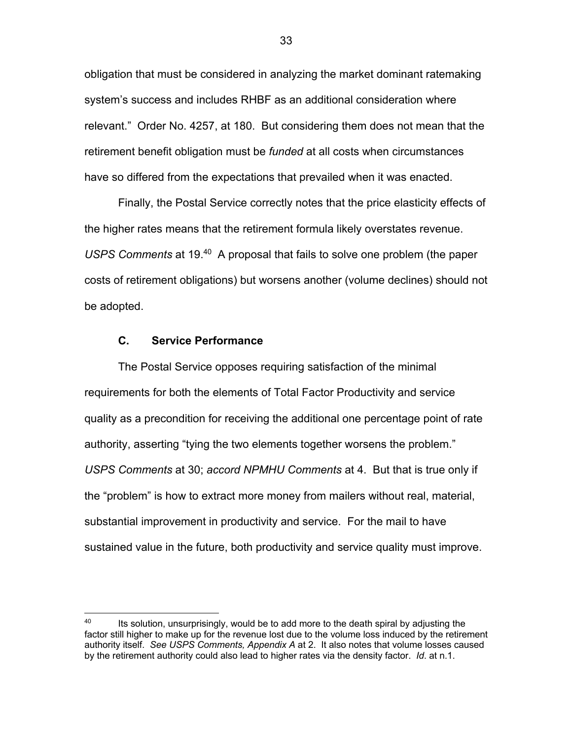obligation that must be considered in analyzing the market dominant ratemaking system's success and includes RHBF as an additional consideration where relevant." Order No. 4257, at 180. But considering them does not mean that the retirement benefit obligation must be *funded* at all costs when circumstances have so differed from the expectations that prevailed when it was enacted.

Finally, the Postal Service correctly notes that the price elasticity effects of the higher rates means that the retirement formula likely overstates revenue. *USPS Comments* at 19.40 A proposal that fails to solve one problem (the paper costs of retirement obligations) but worsens another (volume declines) should not be adopted.

### **C. Service Performance**

The Postal Service opposes requiring satisfaction of the minimal requirements for both the elements of Total Factor Productivity and service quality as a precondition for receiving the additional one percentage point of rate authority, asserting "tying the two elements together worsens the problem." *USPS Comments* at 30; *accord NPMHU Comments* at 4. But that is true only if the "problem" is how to extract more money from mailers without real, material, substantial improvement in productivity and service. For the mail to have sustained value in the future, both productivity and service quality must improve.

<sup>&</sup>lt;sup>40</sup> Its solution, unsurprisingly, would be to add more to the death spiral by adjusting the factor still higher to make up for the revenue lost due to the volume loss induced by the retirement authority itself. *See USPS Comments, Appendix A* at 2. It also notes that volume losses caused by the retirement authority could also lead to higher rates via the density factor. *Id*. at n.1.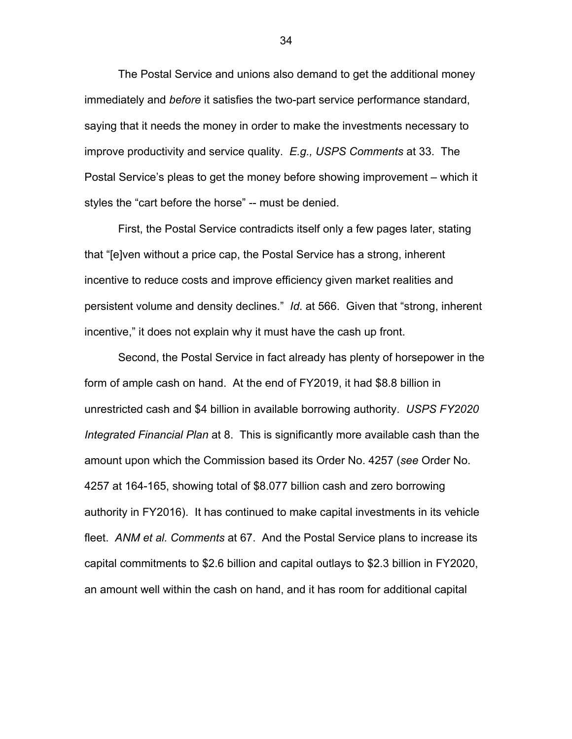The Postal Service and unions also demand to get the additional money immediately and *before* it satisfies the two-part service performance standard, saying that it needs the money in order to make the investments necessary to improve productivity and service quality. *E.g., USPS Comments* at 33. The Postal Service's pleas to get the money before showing improvement – which it styles the "cart before the horse" -- must be denied.

First, the Postal Service contradicts itself only a few pages later, stating that "[e]ven without a price cap, the Postal Service has a strong, inherent incentive to reduce costs and improve efficiency given market realities and persistent volume and density declines." *Id*. at 566. Given that "strong, inherent incentive," it does not explain why it must have the cash up front.

Second, the Postal Service in fact already has plenty of horsepower in the form of ample cash on hand. At the end of FY2019, it had \$8.8 billion in unrestricted cash and \$4 billion in available borrowing authority. *USPS FY2020 Integrated Financial Plan* at 8. This is significantly more available cash than the amount upon which the Commission based its Order No. 4257 (*see* Order No. 4257 at 164-165, showing total of \$8.077 billion cash and zero borrowing authority in FY2016). It has continued to make capital investments in its vehicle fleet. *ANM et al. Comments* at 67. And the Postal Service plans to increase its capital commitments to \$2.6 billion and capital outlays to \$2.3 billion in FY2020, an amount well within the cash on hand, and it has room for additional capital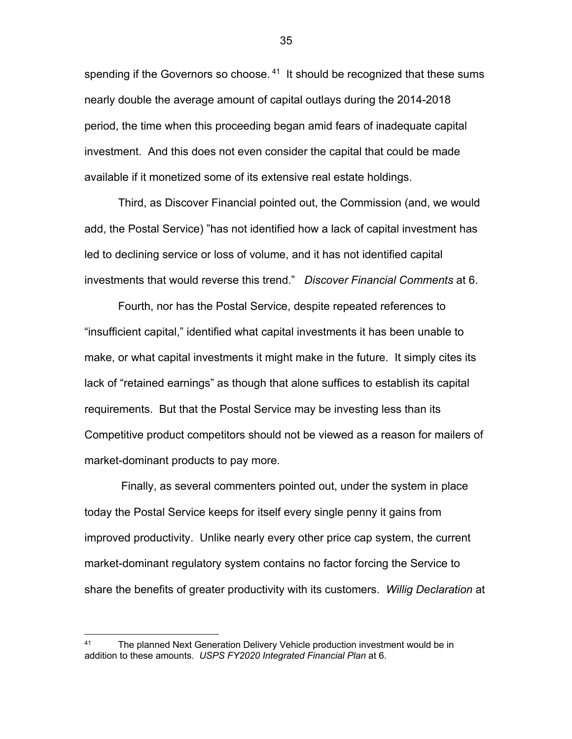spending if the Governors so choose.<sup>41</sup> It should be recognized that these sums nearly double the average amount of capital outlays during the 2014-2018 period, the time when this proceeding began amid fears of inadequate capital investment. And this does not even consider the capital that could be made available if it monetized some of its extensive real estate holdings.

Third, as Discover Financial pointed out, the Commission (and, we would add, the Postal Service) "has not identified how a lack of capital investment has led to declining service or loss of volume, and it has not identified capital investments that would reverse this trend." *Discover Financial Comments* at 6.

Fourth, nor has the Postal Service, despite repeated references to "insufficient capital," identified what capital investments it has been unable to make, or what capital investments it might make in the future. It simply cites its lack of "retained earnings" as though that alone suffices to establish its capital requirements. But that the Postal Service may be investing less than its Competitive product competitors should not be viewed as a reason for mailers of market-dominant products to pay more.

Finally, as several commenters pointed out, under the system in place today the Postal Service keeps for itself every single penny it gains from improved productivity. Unlike nearly every other price cap system, the current market-dominant regulatory system contains no factor forcing the Service to share the benefits of greater productivity with its customers. *Willig Declaration* at

<sup>&</sup>lt;sup>41</sup> The planned Next Generation Delivery Vehicle production investment would be in addition to these amounts. *USPS FY2020 Integrated Financial Plan* at 6.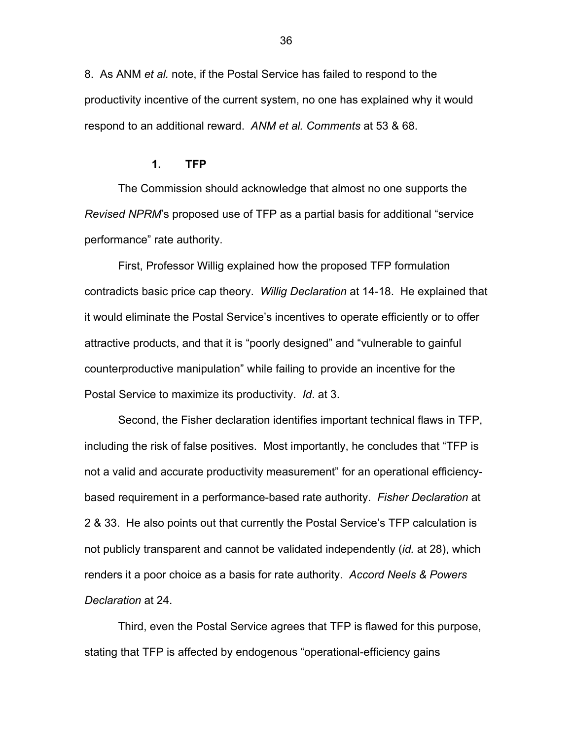8. As ANM *et al.* note, if the Postal Service has failed to respond to the productivity incentive of the current system, no one has explained why it would respond to an additional reward. *ANM et al. Comments* at 53 & 68.

#### **1. TFP**

The Commission should acknowledge that almost no one supports the *Revised NPRM*'s proposed use of TFP as a partial basis for additional "service performance" rate authority.

First, Professor Willig explained how the proposed TFP formulation contradicts basic price cap theory. *Willig Declaration* at 14-18. He explained that it would eliminate the Postal Service's incentives to operate efficiently or to offer attractive products, and that it is "poorly designed" and "vulnerable to gainful counterproductive manipulation" while failing to provide an incentive for the Postal Service to maximize its productivity. *Id*. at 3.

Second, the Fisher declaration identifies important technical flaws in TFP, including the risk of false positives. Most importantly, he concludes that "TFP is not a valid and accurate productivity measurement" for an operational efficiencybased requirement in a performance-based rate authority. *Fisher Declaration* at 2 & 33. He also points out that currently the Postal Service's TFP calculation is not publicly transparent and cannot be validated independently (*id.* at 28), which renders it a poor choice as a basis for rate authority. *Accord Neels & Powers Declaration* at 24.

Third, even the Postal Service agrees that TFP is flawed for this purpose, stating that TFP is affected by endogenous "operational-efficiency gains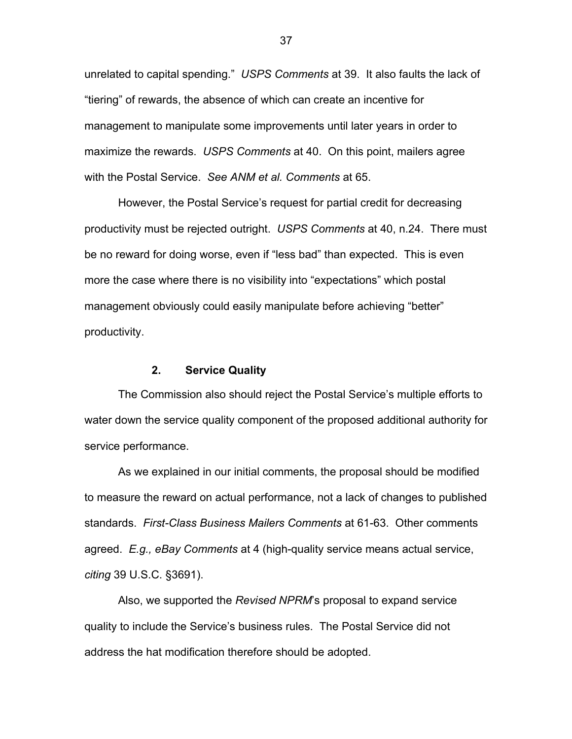unrelated to capital spending." *USPS Comments* at 39. It also faults the lack of "tiering" of rewards, the absence of which can create an incentive for management to manipulate some improvements until later years in order to maximize the rewards. *USPS Comments* at 40. On this point, mailers agree with the Postal Service. *See ANM et al. Comments* at 65.

However, the Postal Service's request for partial credit for decreasing productivity must be rejected outright. *USPS Comments* at 40, n.24. There must be no reward for doing worse, even if "less bad" than expected. This is even more the case where there is no visibility into "expectations" which postal management obviously could easily manipulate before achieving "better" productivity.

### **2. Service Quality**

The Commission also should reject the Postal Service's multiple efforts to water down the service quality component of the proposed additional authority for service performance.

As we explained in our initial comments, the proposal should be modified to measure the reward on actual performance, not a lack of changes to published standards. *First-Class Business Mailers Comments* at 61-63. Other comments agreed. *E.g., eBay Comments* at 4 (high-quality service means actual service, *citing* 39 U.S.C. §3691).

Also, we supported the *Revised NPRM*'s proposal to expand service quality to include the Service's business rules. The Postal Service did not address the hat modification therefore should be adopted.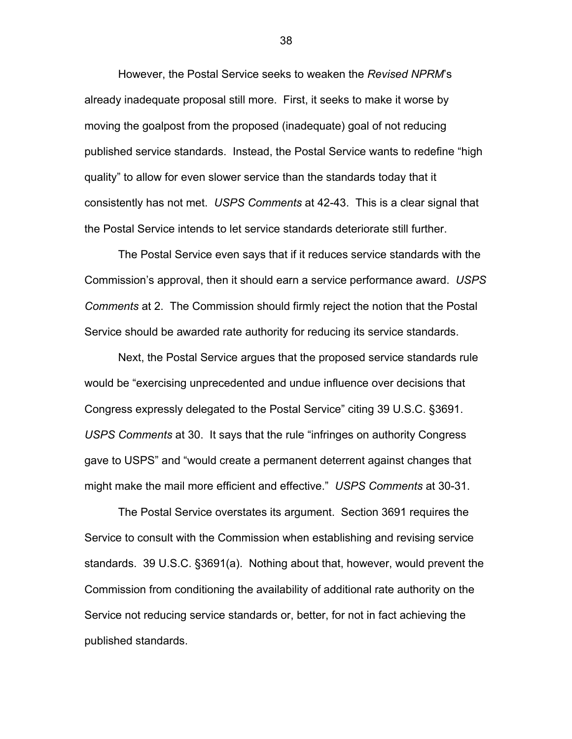However, the Postal Service seeks to weaken the *Revised NPRM*'s already inadequate proposal still more. First, it seeks to make it worse by moving the goalpost from the proposed (inadequate) goal of not reducing published service standards. Instead, the Postal Service wants to redefine "high quality" to allow for even slower service than the standards today that it consistently has not met. *USPS Comments* at 42-43. This is a clear signal that the Postal Service intends to let service standards deteriorate still further.

The Postal Service even says that if it reduces service standards with the Commission's approval, then it should earn a service performance award. *USPS Comments* at 2. The Commission should firmly reject the notion that the Postal Service should be awarded rate authority for reducing its service standards.

Next, the Postal Service argues that the proposed service standards rule would be "exercising unprecedented and undue influence over decisions that Congress expressly delegated to the Postal Service" citing 39 U.S.C. §3691. *USPS Comments* at 30. It says that the rule "infringes on authority Congress gave to USPS" and "would create a permanent deterrent against changes that might make the mail more efficient and effective." *USPS Comments* at 30-31.

The Postal Service overstates its argument. Section 3691 requires the Service to consult with the Commission when establishing and revising service standards. 39 U.S.C. §3691(a). Nothing about that, however, would prevent the Commission from conditioning the availability of additional rate authority on the Service not reducing service standards or, better, for not in fact achieving the published standards.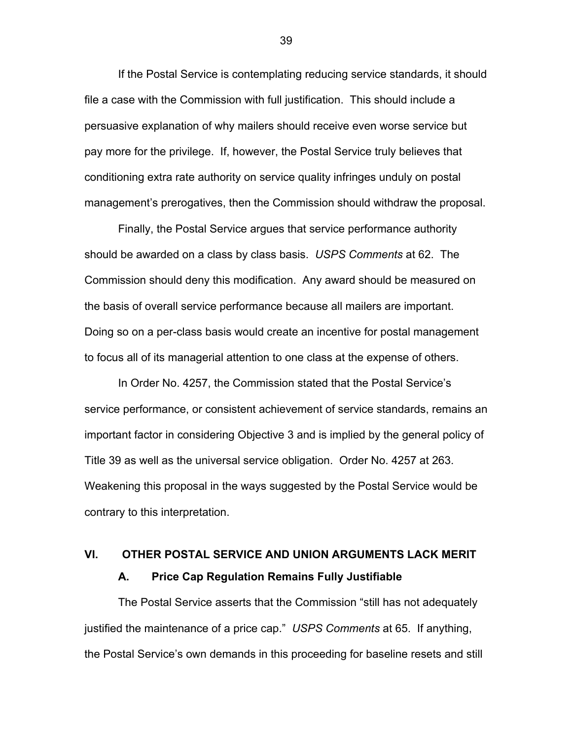If the Postal Service is contemplating reducing service standards, it should file a case with the Commission with full justification. This should include a persuasive explanation of why mailers should receive even worse service but pay more for the privilege. If, however, the Postal Service truly believes that conditioning extra rate authority on service quality infringes unduly on postal management's prerogatives, then the Commission should withdraw the proposal.

Finally, the Postal Service argues that service performance authority should be awarded on a class by class basis. *USPS Comments* at 62. The Commission should deny this modification. Any award should be measured on the basis of overall service performance because all mailers are important. Doing so on a per-class basis would create an incentive for postal management to focus all of its managerial attention to one class at the expense of others.

In Order No. 4257, the Commission stated that the Postal Service's service performance, or consistent achievement of service standards, remains an important factor in considering Objective 3 and is implied by the general policy of Title 39 as well as the universal service obligation. Order No. 4257 at 263. Weakening this proposal in the ways suggested by the Postal Service would be contrary to this interpretation.

# **VI. OTHER POSTAL SERVICE AND UNION ARGUMENTS LACK MERIT A. Price Cap Regulation Remains Fully Justifiable**

The Postal Service asserts that the Commission "still has not adequately justified the maintenance of a price cap." *USPS Comments* at 65. If anything, the Postal Service's own demands in this proceeding for baseline resets and still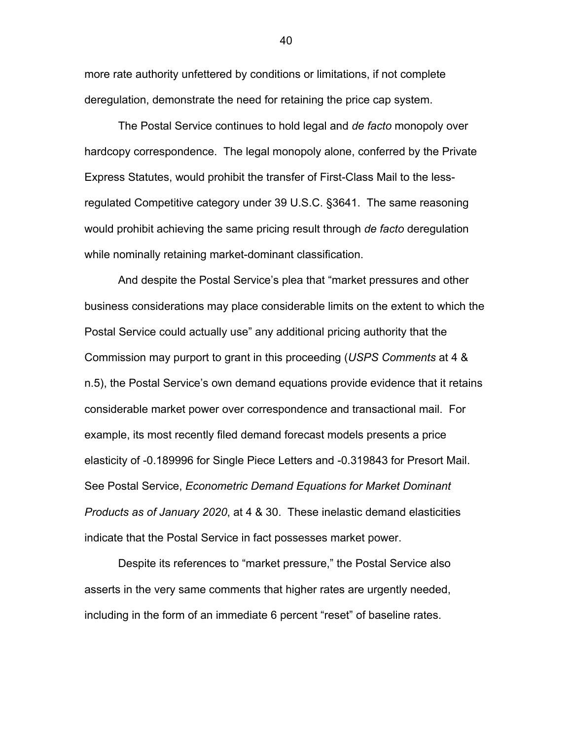more rate authority unfettered by conditions or limitations, if not complete deregulation, demonstrate the need for retaining the price cap system.

The Postal Service continues to hold legal and *de facto* monopoly over hardcopy correspondence. The legal monopoly alone, conferred by the Private Express Statutes, would prohibit the transfer of First-Class Mail to the lessregulated Competitive category under 39 U.S.C. §3641. The same reasoning would prohibit achieving the same pricing result through *de facto* deregulation while nominally retaining market-dominant classification.

And despite the Postal Service's plea that "market pressures and other business considerations may place considerable limits on the extent to which the Postal Service could actually use" any additional pricing authority that the Commission may purport to grant in this proceeding (*USPS Comments* at 4 & n.5), the Postal Service's own demand equations provide evidence that it retains considerable market power over correspondence and transactional mail. For example, its most recently filed demand forecast models presents a price elasticity of -0.189996 for Single Piece Letters and -0.319843 for Presort Mail. See Postal Service, *Econometric Demand Equations for Market Dominant Products as of January 2020*, at 4 & 30. These inelastic demand elasticities indicate that the Postal Service in fact possesses market power.

Despite its references to "market pressure," the Postal Service also asserts in the very same comments that higher rates are urgently needed, including in the form of an immediate 6 percent "reset" of baseline rates.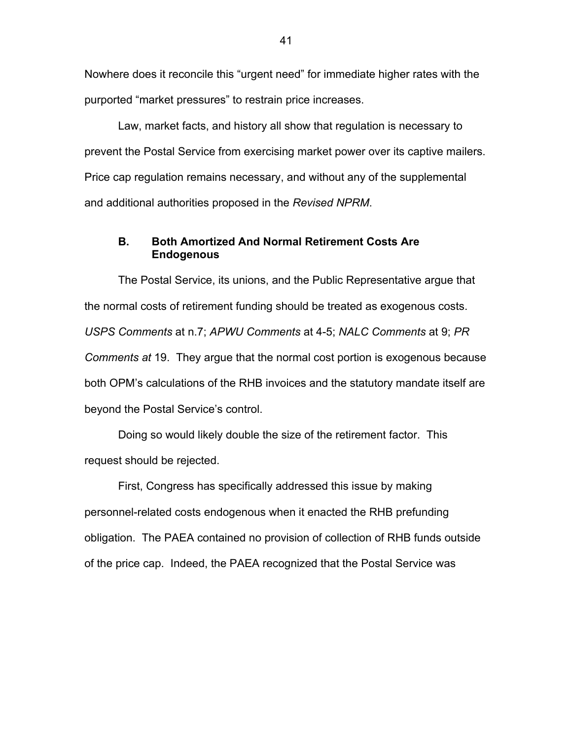Nowhere does it reconcile this "urgent need" for immediate higher rates with the purported "market pressures" to restrain price increases.

Law, market facts, and history all show that regulation is necessary to prevent the Postal Service from exercising market power over its captive mailers. Price cap regulation remains necessary, and without any of the supplemental and additional authorities proposed in the *Revised NPRM*.

# **B. Both Amortized And Normal Retirement Costs Are Endogenous**

The Postal Service, its unions, and the Public Representative argue that the normal costs of retirement funding should be treated as exogenous costs. *USPS Comments* at n.7; *APWU Comments* at 4-5; *NALC Comments* at 9; *PR Comments at* 19. They argue that the normal cost portion is exogenous because both OPM's calculations of the RHB invoices and the statutory mandate itself are beyond the Postal Service's control.

Doing so would likely double the size of the retirement factor. This request should be rejected.

First, Congress has specifically addressed this issue by making personnel-related costs endogenous when it enacted the RHB prefunding obligation. The PAEA contained no provision of collection of RHB funds outside of the price cap. Indeed, the PAEA recognized that the Postal Service was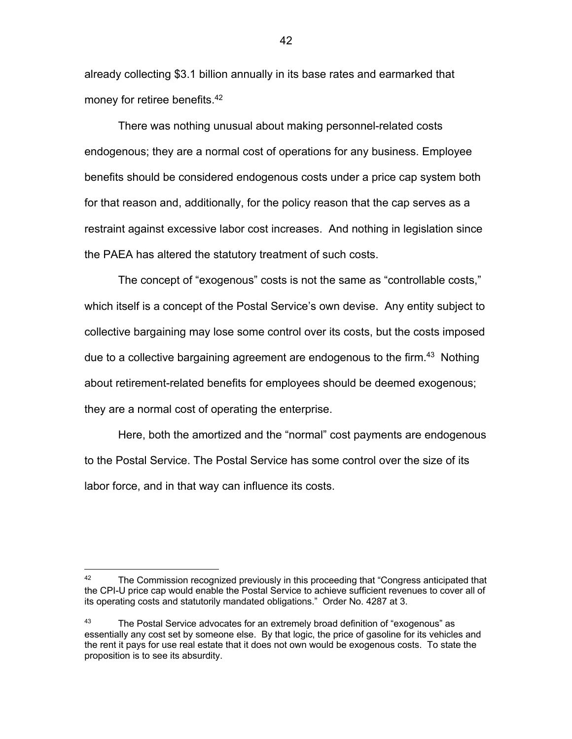already collecting \$3.1 billion annually in its base rates and earmarked that money for retiree benefits.<sup>42</sup>

There was nothing unusual about making personnel-related costs endogenous; they are a normal cost of operations for any business. Employee benefits should be considered endogenous costs under a price cap system both for that reason and, additionally, for the policy reason that the cap serves as a restraint against excessive labor cost increases. And nothing in legislation since the PAEA has altered the statutory treatment of such costs.

The concept of "exogenous" costs is not the same as "controllable costs," which itself is a concept of the Postal Service's own devise. Any entity subject to collective bargaining may lose some control over its costs, but the costs imposed due to a collective bargaining agreement are endogenous to the firm.<sup>43</sup> Nothing about retirement-related benefits for employees should be deemed exogenous; they are a normal cost of operating the enterprise.

Here, both the amortized and the "normal" cost payments are endogenous to the Postal Service. The Postal Service has some control over the size of its labor force, and in that way can influence its costs.

 $42$  The Commission recognized previously in this proceeding that "Congress anticipated that the CPI-U price cap would enable the Postal Service to achieve sufficient revenues to cover all of its operating costs and statutorily mandated obligations." Order No. 4287 at 3.

<sup>&</sup>lt;sup>43</sup> The Postal Service advocates for an extremely broad definition of "exogenous" as essentially any cost set by someone else. By that logic, the price of gasoline for its vehicles and the rent it pays for use real estate that it does not own would be exogenous costs. To state the proposition is to see its absurdity.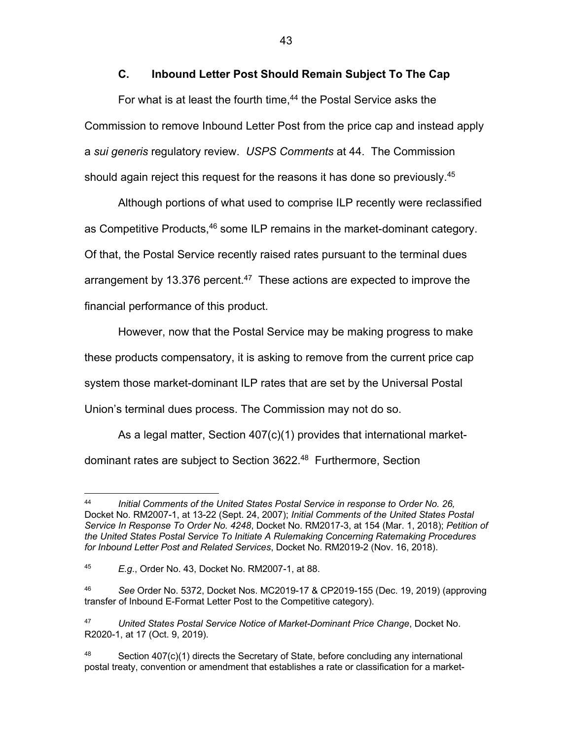# **C. Inbound Letter Post Should Remain Subject To The Cap**

For what is at least the fourth time,<sup>44</sup> the Postal Service asks the Commission to remove Inbound Letter Post from the price cap and instead apply a *sui generis* regulatory review. *USPS Comments* at 44. The Commission should again reject this request for the reasons it has done so previously.<sup>45</sup>

Although portions of what used to comprise ILP recently were reclassified as Competitive Products,<sup>46</sup> some ILP remains in the market-dominant category. Of that, the Postal Service recently raised rates pursuant to the terminal dues arrangement by 13.376 percent.<sup>47</sup> These actions are expected to improve the financial performance of this product.

However, now that the Postal Service may be making progress to make these products compensatory, it is asking to remove from the current price cap system those market-dominant ILP rates that are set by the Universal Postal Union's terminal dues process. The Commission may not do so.

As a legal matter, Section 407(c)(1) provides that international marketdominant rates are subject to Section 3622.48 Furthermore, Section

<sup>44</sup> *Initial Comments of the United States Postal Service in response to Order No. 26,*  Docket No. RM2007-1, at 13-22 (Sept. 24, 2007); *Initial Comments of the United States Postal Service In Response To Order No. 4248*, Docket No. RM2017-3, at 154 (Mar. 1, 2018); *Petition of the United States Postal Service To Initiate A Rulemaking Concerning Ratemaking Procedures for Inbound Letter Post and Related Services*, Docket No. RM2019-2 (Nov. 16, 2018).

<sup>45</sup> *E.g*., Order No. 43, Docket No. RM2007-1, at 88.

<sup>46</sup> *See* Order No. 5372, Docket Nos. MC2019-17 & CP2019-155 (Dec. 19, 2019) (approving transfer of Inbound E-Format Letter Post to the Competitive category).

<sup>47</sup> *United States Postal Service Notice of Market-Dominant Price Change*, Docket No. R2020-1, at 17 (Oct. 9, 2019).

 $48$  Section 407(c)(1) directs the Secretary of State, before concluding any international postal treaty, convention or amendment that establishes a rate or classification for a market-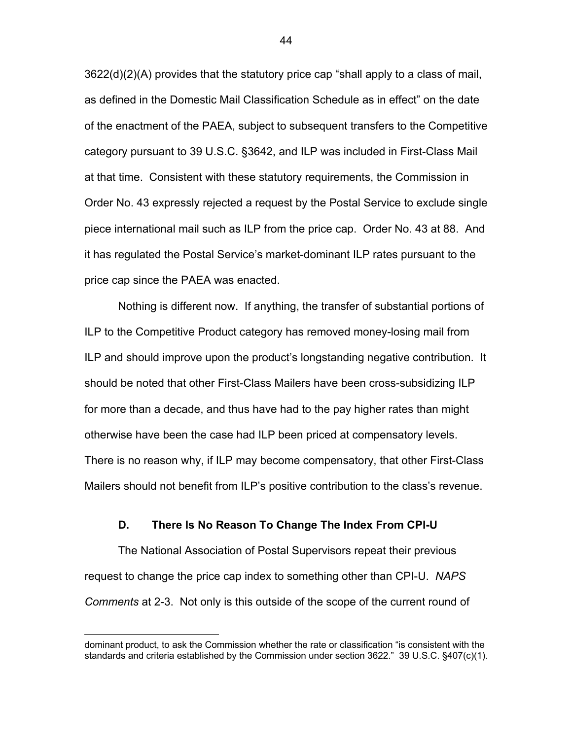3622(d)(2)(A) provides that the statutory price cap "shall apply to a class of mail, as defined in the Domestic Mail Classification Schedule as in effect" on the date of the enactment of the PAEA, subject to subsequent transfers to the Competitive category pursuant to 39 U.S.C. §3642, and ILP was included in First-Class Mail at that time. Consistent with these statutory requirements, the Commission in Order No. 43 expressly rejected a request by the Postal Service to exclude single piece international mail such as ILP from the price cap. Order No. 43 at 88. And it has regulated the Postal Service's market-dominant ILP rates pursuant to the price cap since the PAEA was enacted.

Nothing is different now. If anything, the transfer of substantial portions of ILP to the Competitive Product category has removed money-losing mail from ILP and should improve upon the product's longstanding negative contribution. It should be noted that other First-Class Mailers have been cross-subsidizing ILP for more than a decade, and thus have had to the pay higher rates than might otherwise have been the case had ILP been priced at compensatory levels. There is no reason why, if ILP may become compensatory, that other First-Class Mailers should not benefit from ILP's positive contribution to the class's revenue.

#### **D. There Is No Reason To Change The Index From CPI-U**

The National Association of Postal Supervisors repeat their previous request to change the price cap index to something other than CPI-U. *NAPS Comments* at 2-3. Not only is this outside of the scope of the current round of

dominant product, to ask the Commission whether the rate or classification "is consistent with the standards and criteria established by the Commission under section 3622." 39 U.S.C. §407(c)(1).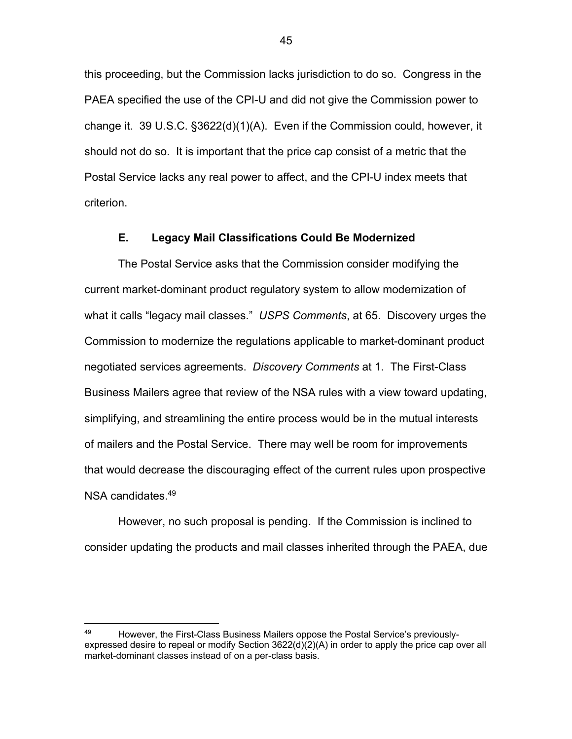this proceeding, but the Commission lacks jurisdiction to do so. Congress in the PAEA specified the use of the CPI-U and did not give the Commission power to change it. 39 U.S.C. §3622(d)(1)(A). Even if the Commission could, however, it should not do so. It is important that the price cap consist of a metric that the Postal Service lacks any real power to affect, and the CPI-U index meets that criterion.

### **E. Legacy Mail Classifications Could Be Modernized**

The Postal Service asks that the Commission consider modifying the current market-dominant product regulatory system to allow modernization of what it calls "legacy mail classes." *USPS Comments*, at 65. Discovery urges the Commission to modernize the regulations applicable to market-dominant product negotiated services agreements. *Discovery Comments* at 1. The First-Class Business Mailers agree that review of the NSA rules with a view toward updating, simplifying, and streamlining the entire process would be in the mutual interests of mailers and the Postal Service. There may well be room for improvements that would decrease the discouraging effect of the current rules upon prospective NSA candidates.<sup>49</sup>

However, no such proposal is pending. If the Commission is inclined to consider updating the products and mail classes inherited through the PAEA, due

<sup>&</sup>lt;sup>49</sup> However, the First-Class Business Mailers oppose the Postal Service's previouslyexpressed desire to repeal or modify Section 3622(d)(2)(A) in order to apply the price cap over all market-dominant classes instead of on a per-class basis.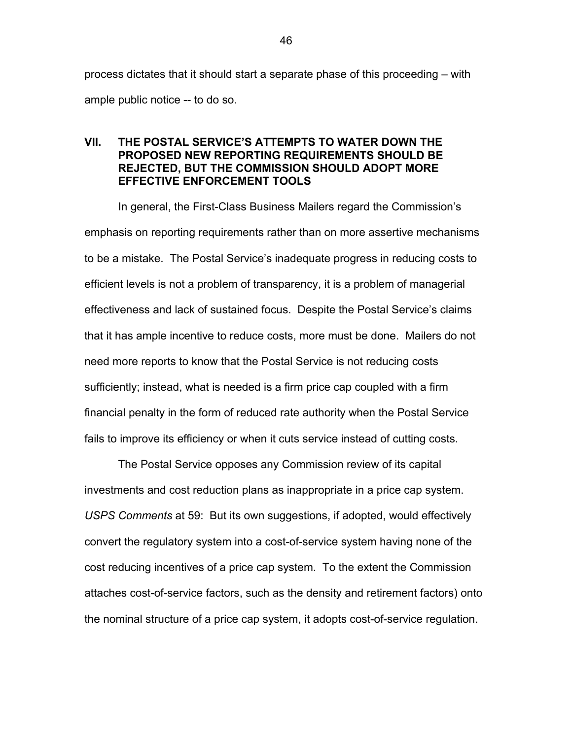process dictates that it should start a separate phase of this proceeding – with ample public notice -- to do so.

# **VII. THE POSTAL SERVICE'S ATTEMPTS TO WATER DOWN THE PROPOSED NEW REPORTING REQUIREMENTS SHOULD BE REJECTED, BUT THE COMMISSION SHOULD ADOPT MORE EFFECTIVE ENFORCEMENT TOOLS**

In general, the First-Class Business Mailers regard the Commission's emphasis on reporting requirements rather than on more assertive mechanisms to be a mistake. The Postal Service's inadequate progress in reducing costs to efficient levels is not a problem of transparency, it is a problem of managerial effectiveness and lack of sustained focus. Despite the Postal Service's claims that it has ample incentive to reduce costs, more must be done. Mailers do not need more reports to know that the Postal Service is not reducing costs sufficiently; instead, what is needed is a firm price cap coupled with a firm financial penalty in the form of reduced rate authority when the Postal Service fails to improve its efficiency or when it cuts service instead of cutting costs.

The Postal Service opposes any Commission review of its capital investments and cost reduction plans as inappropriate in a price cap system. *USPS Comments* at 59: But its own suggestions, if adopted, would effectively convert the regulatory system into a cost-of-service system having none of the cost reducing incentives of a price cap system. To the extent the Commission attaches cost-of-service factors, such as the density and retirement factors) onto the nominal structure of a price cap system, it adopts cost-of-service regulation.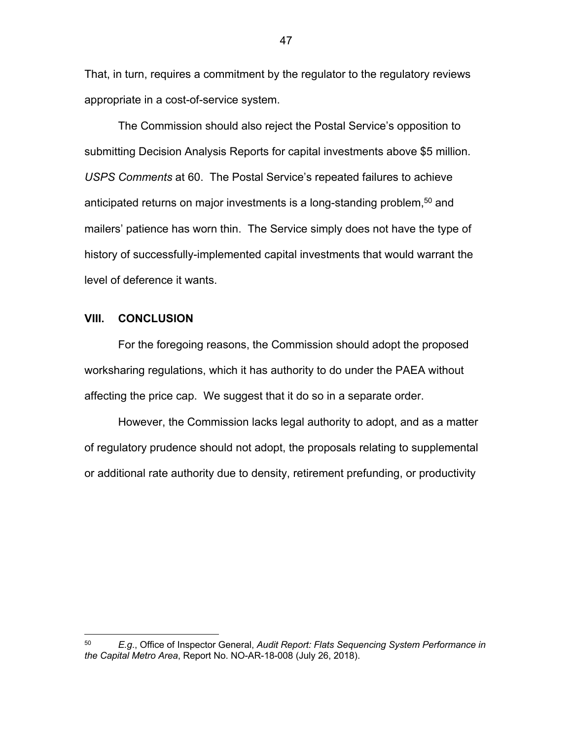That, in turn, requires a commitment by the regulator to the regulatory reviews appropriate in a cost-of-service system.

The Commission should also reject the Postal Service's opposition to submitting Decision Analysis Reports for capital investments above \$5 million. *USPS Comments* at 60. The Postal Service's repeated failures to achieve anticipated returns on major investments is a long-standing problem, $50$  and mailers' patience has worn thin. The Service simply does not have the type of history of successfully-implemented capital investments that would warrant the level of deference it wants.

### **VIII. CONCLUSION**

For the foregoing reasons, the Commission should adopt the proposed worksharing regulations, which it has authority to do under the PAEA without affecting the price cap. We suggest that it do so in a separate order.

However, the Commission lacks legal authority to adopt, and as a matter of regulatory prudence should not adopt, the proposals relating to supplemental or additional rate authority due to density, retirement prefunding, or productivity

<sup>50</sup> *E.g*., Office of Inspector General, *Audit Report: Flats Sequencing System Performance in the Capital Metro Area*, Report No. NO-AR-18-008 (July 26, 2018).